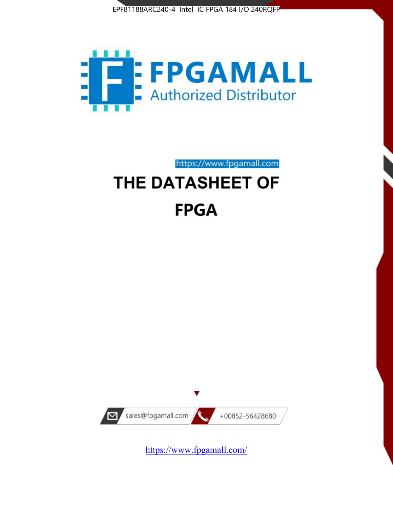



https://www.fpgamall.com

# THE DATASHEET OF **FPGA**



<https://www.fpgamall.com/>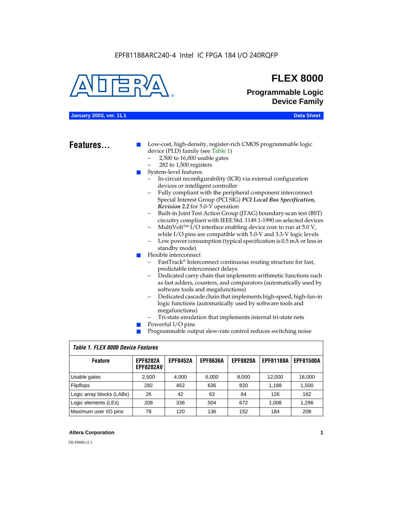

### **FLEX 8000**

**Programmable Logic Device Family**

### **January 2003, ver. 11.1 Data Sheet**

### Features...

Low-cost, high-density, register-rich CMOS programmable logic device (PLD) family (see Table 1)

- 2,500 to 16,000 usable gates
- 282 to 1,500 registers
- System-level features
	- In-circuit reconfigurability (ICR) via external configuration devices or intelligent controller
	- Fully compliant with the peripheral component interconnect Special Interest Group (PCI SIG) *PCI Local Bus Specification, Revision 2.2* for 5.0-V operation
	- Built-in Joint Test Action Group (JTAG) boundary-scan test (BST) circuitry compliant with IEEE Std. 1149.1-1990 on selected devices
	- MultiVolt<sup>™</sup> I/O interface enabling device core to run at  $5.0 V$ , while I/O pins are compatible with 5.0-V and 3.3-V logic levels
	- Low power consumption (typical specification is 0.5 mA or less in standby mode)
- Flexible interconnect
	- FastTrack<sup>®</sup> Interconnect continuous routing structure for fast, predictable interconnect delays
	- Dedicated carry chain that implements arithmetic functions such as fast adders, counters, and comparators (automatically used by software tools and megafunctions)
	- Dedicated cascade chain that implements high-speed, high-fan-in logic functions (automatically used by software tools and megafunctions)
	- Tri-state emulation that implements internal tri-state nets
- Powerful I/O pins
- Programmable output slew-rate control reduces switching noise

| <b>Feature</b>            | <b>EPF8282A</b><br><b>EPF8282AV</b> | <b>EPF8452A</b> | <b>EPF8636A</b> | <b>EPF8820A</b> | <b>EPF81188A</b> | <b>EPF81500A</b> |  |  |  |  |
|---------------------------|-------------------------------------|-----------------|-----------------|-----------------|------------------|------------------|--|--|--|--|
| Usable gates              | 2,500                               | 4.000           | 6,000           | 8,000           | 12.000           | 16,000           |  |  |  |  |
| Flipflops                 | 282                                 | 452             | 636             | 820             | 1.188            | 1,500            |  |  |  |  |
| Logic array blocks (LABs) | 26                                  | 42              | 63              | 84              | 126              | 162              |  |  |  |  |
| Logic elements (LEs)      | 208                                 | 336             | 504             | 672             | 1.008            | 1,296            |  |  |  |  |
| Maximum user I/O pins     | 78                                  | 120             | 136             | 152             | 184              | 208              |  |  |  |  |

### *Table 1. FLEX 8000 Device Features*

### **Altera Corporation 1**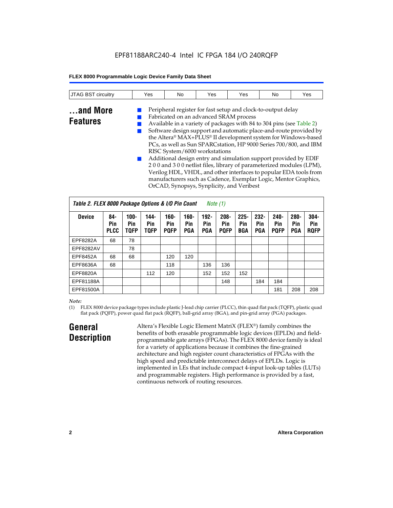| <b>JTAG BST</b><br>circuitry | Yes | No | Yes | Yes | No | Yes |
|------------------------------|-----|----|-----|-----|----|-----|
|                              |     |    |     |     |    |     |

### **...and More Features**

Fabricated on an advanced SRAM process ■ Available in a variety of packages with 84 to 304 pins (see Table 2) Software design support and automatic place-and-route provided by the Altera® MAX+PLUS® II development system for Windows-based PCs, as well as Sun SPARCstation, HP 9000 Series 700/800, and IBM RISC System/6000 workstations Additional design entry and simulation support provided by EDIF

Peripheral register for fast setup and clock-to-output delay

2 0 0 and 3 0 0 netlist files, library of parameterized modules (LPM), Verilog HDL, VHDL, and other interfaces to popular EDA tools from manufacturers such as Cadence, Exemplar Logic, Mentor Graphics, OrCAD, Synopsys, Synplicity, and Veribest

| Table 2. FLEX 8000 Package Options & I/O Pin Count<br>Note $(1)$ |                           |                               |                            |                               |                              |                              |                               |                              |                              |                               |                              |                               |
|------------------------------------------------------------------|---------------------------|-------------------------------|----------------------------|-------------------------------|------------------------------|------------------------------|-------------------------------|------------------------------|------------------------------|-------------------------------|------------------------------|-------------------------------|
| <b>Device</b>                                                    | 84-<br>Pin<br><b>PLCC</b> | $100 -$<br>Pin<br><b>TQFP</b> | 144-<br>Pin<br><b>TQFP</b> | $160 -$<br>Pin<br><b>PQFP</b> | $160 -$<br>Pin<br><b>PGA</b> | $192 -$<br>Pin<br><b>PGA</b> | $208 -$<br>Pin<br><b>POFP</b> | $225 -$<br>Pin<br><b>BGA</b> | $232 -$<br>Pin<br><b>PGA</b> | $240 -$<br>Pin<br><b>PQFP</b> | $280 -$<br>Pin<br><b>PGA</b> | $304 -$<br>Pin<br><b>ROFP</b> |
| EPF8282A                                                         | 68                        | 78                            |                            |                               |                              |                              |                               |                              |                              |                               |                              |                               |
| EPF8282AV                                                        |                           | 78                            |                            |                               |                              |                              |                               |                              |                              |                               |                              |                               |
| EPF8452A                                                         | 68                        | 68                            |                            | 120                           | 120                          |                              |                               |                              |                              |                               |                              |                               |
| EPF8636A                                                         | 68                        |                               |                            | 118                           |                              | 136                          | 136                           |                              |                              |                               |                              |                               |
| EPF8820A                                                         |                           |                               | 112                        | 120                           |                              | 152                          | 152                           | 152                          |                              |                               |                              |                               |
| EPF81188A                                                        |                           |                               |                            |                               |                              |                              | 148                           |                              | 184                          | 184                           |                              |                               |
| EPF81500A                                                        |                           |                               |                            |                               |                              |                              |                               |                              |                              | 181                           | 208                          | 208                           |

### *Note:*

(1) FLEX 8000 device package types include plastic J-lead chip carrier (PLCC), thin quad flat pack (TQFP), plastic quad flat pack (PQFP), power quad flat pack (RQFP), ball-grid array (BGA), and pin-grid array (PGA) packages.

### **General Description**

Altera's Flexible Logic Element MatriX (FLEX®) family combines the benefits of both erasable programmable logic devices (EPLDs) and fieldprogrammable gate arrays (FPGAs). The FLEX 8000 device family is ideal for a variety of applications because it combines the fine-grained architecture and high register count characteristics of FPGAs with the high speed and predictable interconnect delays of EPLDs. Logic is implemented in LEs that include compact 4-input look-up tables (LUTs) and programmable registers. High performance is provided by a fast, continuous network of routing resources.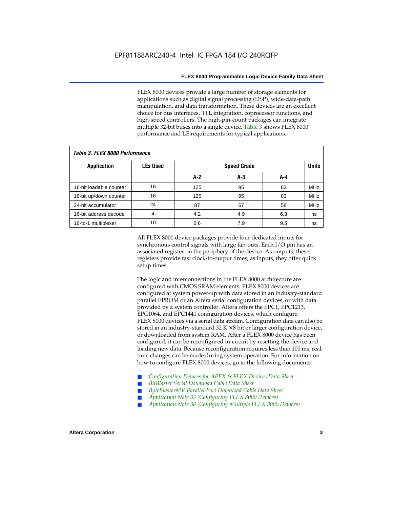FLEX 8000 devices provide a large number of storage elements for applications such as digital signal processing (DSP), wide-data-path manipulation, and data transformation. These devices are an excellent choice for bus interfaces, TTL integration, coprocessor functions, and high-speed controllers. The high-pin-count packages can integrate multiple 32-bit buses into a single device. Table 3 shows FLEX 8000 performance and LE requirements for typical applications.

| Tadie 3. Flex 8000 periormance |                 |       |                    |     |            |  |  |  |  |  |  |
|--------------------------------|-----------------|-------|--------------------|-----|------------|--|--|--|--|--|--|
| <b>Application</b>             | <b>LEs Used</b> |       | <b>Speed Grade</b> |     |            |  |  |  |  |  |  |
|                                |                 | $A-2$ | A-3                | A-4 |            |  |  |  |  |  |  |
| 16-bit loadable counter        | 16              | 125   | 95                 | 83  | <b>MHz</b> |  |  |  |  |  |  |
| 16-bit up/down counter         | 16              | 125   | 95                 | 83  | <b>MHz</b> |  |  |  |  |  |  |
| 24-bit accumulator             | 24              | 87    | 67                 | 58  | <b>MHz</b> |  |  |  |  |  |  |
| 16-bit address decode          | 4               | 4.2   | 4.9                | 6.3 | ns         |  |  |  |  |  |  |
| 16-to-1 multiplexer            | 10              | 6.6   | 7.9                | 9.5 | ns         |  |  |  |  |  |  |

*Table 3. FLEX 8000 Performance*

All FLEX 8000 device packages provide four dedicated inputs for synchronous control signals with large fan-outs. Each I/O pin has an associated register on the periphery of the device. As outputs, these registers provide fast clock-to-output times; as inputs, they offer quick setup times.

The logic and interconnections in the FLEX 8000 architecture are configured with CMOS SRAM elements. FLEX 8000 devices are configured at system power-up with data stored in an industry-standard parallel EPROM or an Altera serial configuration devices, or with data provided by a system controller. Altera offers the EPC1, EPC1213, EPC1064, and EPC1441 configuration devices, which configure FLEX 8000 devices via a serial data stream. Configuration data can also be stored in an industry-standard  $32 K \times 8$  bit or larger configuration device, or downloaded from system RAM. After a FLEX 8000 device has been configured, it can be reconfigured in-circuit by resetting the device and loading new data. Because reconfiguration requires less than 100 ms, realtime changes can be made during system operation. For information on how to configure FLEX 8000 devices, go to the following documents:

- Configuration Devices for APEX & FLEX Devices Data Sheet
- $BitBlaster$  Serial Download Cable Data Sheet
- ByteBlasterMV Parallel Port Download Cable Data Sheet
- *Application Note 33 (Configuring FLEX 8000 Devices)*
- *Application Note 38 (Configuring Multiple FLEX 8000 Devices)*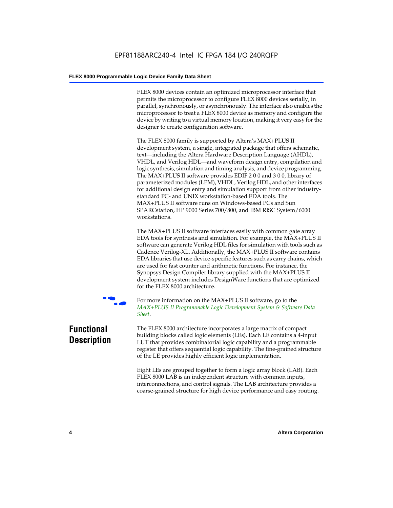FLEX 8000 devices contain an optimized microprocessor interface that permits the microprocessor to configure FLEX 8000 devices serially, in parallel, synchronously, or asynchronously. The interface also enables the microprocessor to treat a FLEX 8000 device as memory and configure the device by writing to a virtual memory location, making it very easy for the designer to create configuration software.

The FLEX 8000 family is supported by Altera's MAX+PLUS II development system, a single, integrated package that offers schematic, text—including the Altera Hardware Description Language (AHDL), VHDL, and Verilog HDL—and waveform design entry, compilation and logic synthesis, simulation and timing analysis, and device programming. The MAX+PLUS II software provides EDIF 2 0 0 and 3 0 0, library of parameterized modules (LPM), VHDL, Verilog HDL, and other interfaces for additional design entry and simulation support from other industrystandard PC- and UNIX workstation-based EDA tools. The MAX+PLUS II software runs on Windows-based PCs and Sun SPARCstation, HP 9000 Series 700/800, and IBM RISC System/6000 workstations.

The MAX+PLUS II software interfaces easily with common gate array EDA tools for synthesis and simulation. For example, the MAX+PLUS II software can generate Verilog HDL files for simulation with tools such as Cadence Verilog-XL. Additionally, the MAX+PLUS II software contains EDA libraries that use device-specific features such as carry chains, which are used for fast counter and arithmetic functions. For instance, the Synopsys Design Compiler library supplied with the MAX+PLUS II development system includes DesignWare functions that are optimized for the FLEX 8000 architecture.



For more information on the MAX+PLUS II software, go to the *MAX+PLUS II Programmable Logic Development System & Software Data Sheet*.

### **Functional Description**

The FLEX 8000 architecture incorporates a large matrix of compact building blocks called logic elements (LEs). Each LE contains a 4-input LUT that provides combinatorial logic capability and a programmable register that offers sequential logic capability. The fine-grained structure of the LE provides highly efficient logic implementation.

Eight LEs are grouped together to form a logic array block (LAB). Each FLEX 8000 LAB is an independent structure with common inputs, interconnections, and control signals. The LAB architecture provides a coarse-grained structure for high device performance and easy routing.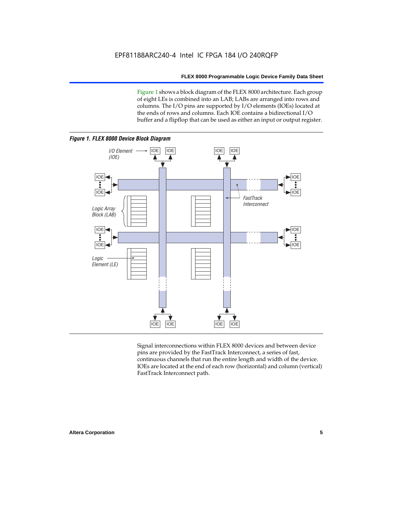Figure 1 shows a block diagram of the FLEX 8000 architecture. Each group of eight LEs is combined into an LAB; LABs are arranged into rows and columns. The I/O pins are supported by I/O elements (IOEs) located at the ends of rows and columns. Each IOE contains a bidirectional I/O buffer and a flipflop that can be used as either an input or output register.



Signal interconnections within FLEX 8000 devices and between device pins are provided by the FastTrack Interconnect, a series of fast, continuous channels that run the entire length and width of the device. IOEs are located at the end of each row (horizontal) and column (vertical) FastTrack Interconnect path.

### **Altera Corporation 5**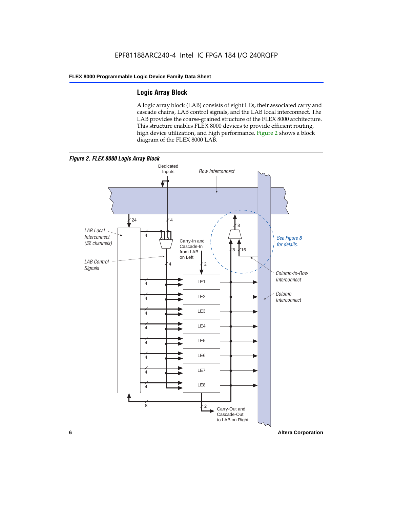### **Logic Array Block**

A logic array block (LAB) consists of eight LEs, their associated carry and cascade chains, LAB control signals, and the LAB local interconnect. The LAB provides the coarse-grained structure of the FLEX 8000 architecture. This structure enables FLEX 8000 devices to provide efficient routing, high device utilization, and high performance. Figure 2 shows a block diagram of the FLEX 8000 LAB.



**6 Altera Corporation**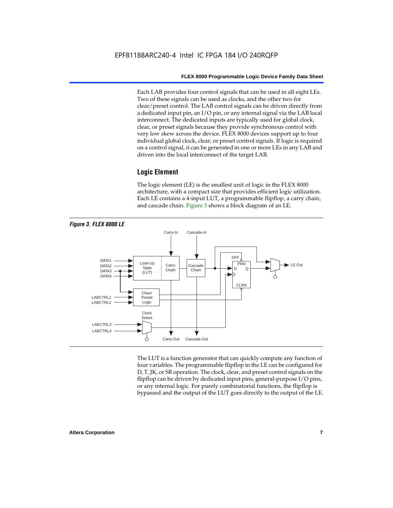Each LAB provides four control signals that can be used in all eight LEs. Two of these signals can be used as clocks, and the other two for clear/preset control. The LAB control signals can be driven directly from a dedicated input pin, an I/O pin, or any internal signal via the LAB local interconnect. The dedicated inputs are typically used for global clock, clear, or preset signals because they provide synchronous control with very low skew across the device. FLEX 8000 devices support up to four individual global clock, clear, or preset control signals. If logic is required on a control signal, it can be generated in one or more LEs in any LAB and driven into the local interconnect of the target LAB.

### **Logic Element**

The logic element (LE) is the smallest unit of logic in the FLEX 8000 architecture, with a compact size that provides efficient logic utilization. Each LE contains a 4-input LUT, a programmable flipflop, a carry chain, and cascade chain. Figure 3 shows a block diagram of an LE.



The LUT is a function generator that can quickly compute any function of four variables. The programmable flipflop in the LE can be configured for D, T, JK, or SR operation. The clock, clear, and preset control signals on the flipflop can be driven by dedicated input pins, general-purpose I/O pins, or any internal logic. For purely combinatorial functions, the flipflop is bypassed and the output of the LUT goes directly to the output of the LE.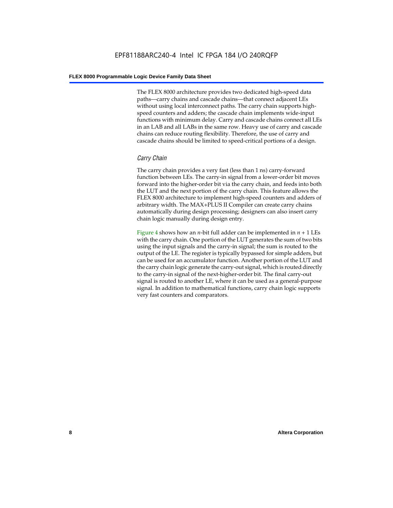The FLEX 8000 architecture provides two dedicated high-speed data paths—carry chains and cascade chains—that connect adjacent LEs without using local interconnect paths. The carry chain supports highspeed counters and adders; the cascade chain implements wide-input functions with minimum delay. Carry and cascade chains connect all LEs in an LAB and all LABs in the same row. Heavy use of carry and cascade chains can reduce routing flexibility. Therefore, the use of carry and cascade chains should be limited to speed-critical portions of a design.

### *Carry Chain*

The carry chain provides a very fast (less than 1 ns) carry-forward function between LEs. The carry-in signal from a lower-order bit moves forward into the higher-order bit via the carry chain, and feeds into both the LUT and the next portion of the carry chain. This feature allows the FLEX 8000 architecture to implement high-speed counters and adders of arbitrary width. The MAX+PLUS II Compiler can create carry chains automatically during design processing; designers can also insert carry chain logic manually during design entry.

Figure 4 shows how an *n*-bit full adder can be implemented in *n* + 1 LEs with the carry chain. One portion of the LUT generates the sum of two bits using the input signals and the carry-in signal; the sum is routed to the output of the LE. The register is typically bypassed for simple adders, but can be used for an accumulator function. Another portion of the LUT and the carry chain logic generate the carry-out signal, which is routed directly to the carry-in signal of the next-higher-order bit. The final carry-out signal is routed to another LE, where it can be used as a general-purpose signal. In addition to mathematical functions, carry chain logic supports very fast counters and comparators.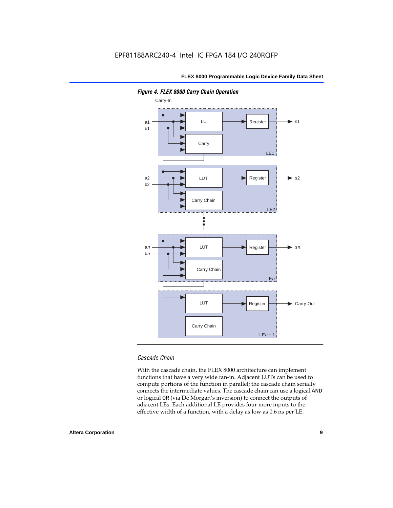

*Figure 4. FLEX 8000 Carry Chain Operation*

### *Cascade Chain*

With the cascade chain, the FLEX 8000 architecture can implement functions that have a very wide fan-in. Adjacent LUTs can be used to compute portions of the function in parallel; the cascade chain serially connects the intermediate values. The cascade chain can use a logical AND or logical OR (via De Morgan's inversion) to connect the outputs of adjacent LEs. Each additional LE provides four more inputs to the effective width of a function, with a delay as low as 0.6 ns per LE.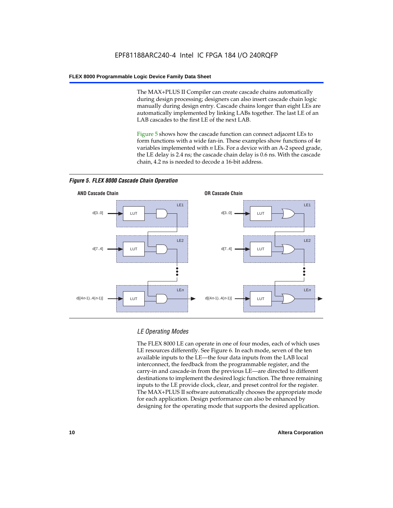The MAX+PLUS II Compiler can create cascade chains automatically during design processing; designers can also insert cascade chain logic manually during design entry. Cascade chains longer than eight LEs are automatically implemented by linking LABs together. The last LE of an LAB cascades to the first LE of the next LAB.

Figure 5 shows how the cascade function can connect adjacent LEs to form functions with a wide fan-in. These examples show functions of 4*n* variables implemented with *n* LEs. For a device with an A-2 speed grade, the LE delay is 2.4 ns; the cascade chain delay is 0.6 ns. With the cascade chain, 4.2 ns is needed to decode a 16-bit address.



*Figure 5. FLEX 8000 Cascade Chain Operation*

### *LE Operating Modes*

The FLEX 8000 LE can operate in one of four modes, each of which uses LE resources differently. See Figure 6. In each mode, seven of the ten available inputs to the LE—the four data inputs from the LAB local interconnect, the feedback from the programmable register, and the carry-in and cascade-in from the previous LE—are directed to different destinations to implement the desired logic function. The three remaining inputs to the LE provide clock, clear, and preset control for the register. The MAX+PLUS II software automatically chooses the appropriate mode for each application. Design performance can also be enhanced by designing for the operating mode that supports the desired application.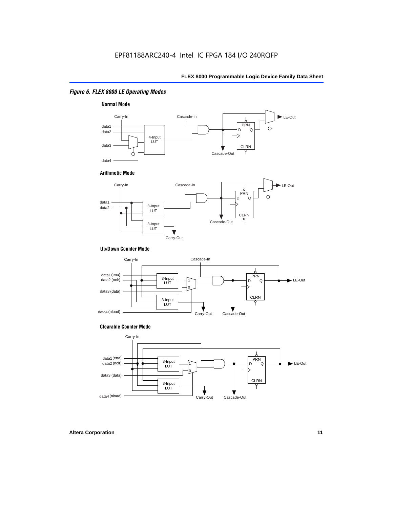### *Figure 6. FLEX 8000 LE Operating Modes*



#### **Arithmetic Mode**



### **Up/Down Counter Mode**



#### **Clearable Counter Mode**

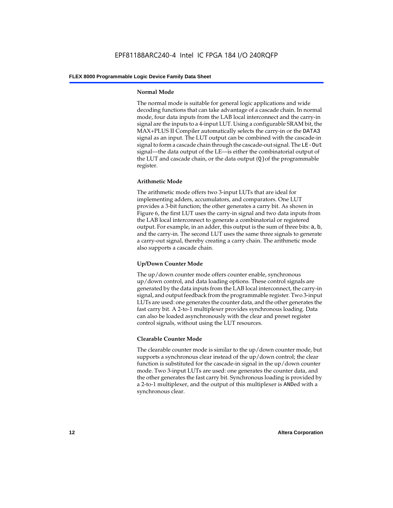### **Normal Mode**

The normal mode is suitable for general logic applications and wide decoding functions that can take advantage of a cascade chain. In normal mode, four data inputs from the LAB local interconnect and the carry-in signal are the inputs to a 4-input LUT. Using a configurable SRAM bit, the MAX+PLUS II Compiler automatically selects the carry-in or the DATA3 signal as an input. The LUT output can be combined with the cascade-in signal to form a cascade chain through the cascade-out signal. The LE-Out signal—the data output of the LE—is either the combinatorial output of the LUT and cascade chain, or the data output  $(Q)$  of the programmable register.

### **Arithmetic Mode**

The arithmetic mode offers two 3-input LUTs that are ideal for implementing adders, accumulators, and comparators. One LUT provides a 3-bit function; the other generates a carry bit. As shown in Figure 6, the first LUT uses the carry-in signal and two data inputs from the LAB local interconnect to generate a combinatorial or registered output. For example, in an adder, this output is the sum of three bits: a, b, and the carry-in. The second LUT uses the same three signals to generate a carry-out signal, thereby creating a carry chain. The arithmetic mode also supports a cascade chain.

### **Up/Down Counter Mode**

The up/down counter mode offers counter enable, synchronous up/down control, and data loading options. These control signals are generated by the data inputs from the LAB local interconnect, the carry-in signal, and output feedback from the programmable register. Two 3-input LUTs are used: one generates the counter data, and the other generates the fast carry bit. A 2-to-1 multiplexer provides synchronous loading. Data can also be loaded asynchronously with the clear and preset register control signals, without using the LUT resources.

### **Clearable Counter Mode**

The clearable counter mode is similar to the up/down counter mode, but supports a synchronous clear instead of the up/down control; the clear function is substituted for the cascade-in signal in the up/down counter mode. Two 3-input LUTs are used: one generates the counter data, and the other generates the fast carry bit. Synchronous loading is provided by a 2-to-1 multiplexer, and the output of this multiplexer is ANDed with a synchronous clear.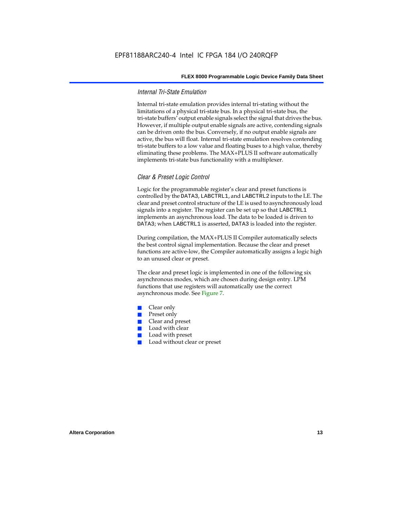### *Internal Tri-State Emulation*

Internal tri-state emulation provides internal tri-stating without the limitations of a physical tri-state bus. In a physical tri-state bus, the tri-state buffers' output enable signals select the signal that drives the bus. However, if multiple output enable signals are active, contending signals can be driven onto the bus. Conversely, if no output enable signals are active, the bus will float. Internal tri-state emulation resolves contending tri-state buffers to a low value and floating buses to a high value, thereby eliminating these problems. The MAX+PLUS II software automatically implements tri-state bus functionality with a multiplexer.

### *Clear & Preset Logic Control*

Logic for the programmable register's clear and preset functions is controlled by the DATA3, LABCTRL1, and LABCTRL2 inputs to the LE. The clear and preset control structure of the LE is used to asynchronously load signals into a register. The register can be set up so that LABCTRL1 implements an asynchronous load. The data to be loaded is driven to DATA3; when LABCTRL1 is asserted, DATA3 is loaded into the register.

During compilation, the MAX+PLUS II Compiler automatically selects the best control signal implementation. Because the clear and preset functions are active-low, the Compiler automatically assigns a logic high to an unused clear or preset.

The clear and preset logic is implemented in one of the following six asynchronous modes, which are chosen during design entry. LPM functions that use registers will automatically use the correct asynchronous mode. See Figure 7.

- Clear only
- Preset only
- Clear and preset
- Load with clear
- Load with preset
- Load without clear or preset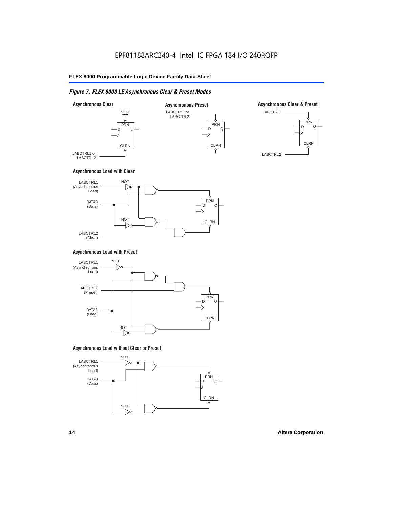### *Figure 7. FLEX 8000 LE Asynchronous Clear & Preset Modes*



### **Asynchronous Load with Clear**



### **Asynchronous Load with Preset**



### **Asynchronous Load without Clear or Preset**

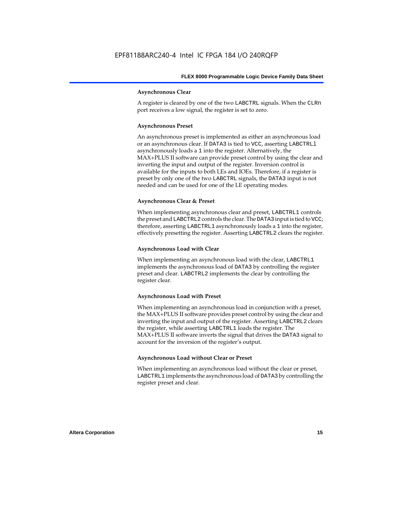### **Asynchronous Clear**

A register is cleared by one of the two LABCTRL signals. When the CLRn port receives a low signal, the register is set to zero.

### **Asynchronous Preset**

An asynchronous preset is implemented as either an asynchronous load or an asynchronous clear. If DATA3 is tied to VCC, asserting LABCTRLl asynchronously loads a 1 into the register. Alternatively, the MAX+PLUS II software can provide preset control by using the clear and inverting the input and output of the register. Inversion control is available for the inputs to both LEs and IOEs. Therefore, if a register is preset by only one of the two LABCTRL signals, the DATA3 input is not needed and can be used for one of the LE operating modes.

### **Asynchronous Clear & Preset**

When implementing asynchronous clear and preset, LABCTRL1 controls the preset and LABCTRL2 controls the clear. The DATA3 input is tied to VCC; therefore, asserting LABCTRL1 asynchronously loads a 1 into the register, effectively presetting the register. Asserting LABCTRL2 clears the register.

### **Asynchronous Load with Clear**

When implementing an asynchronous load with the clear, LABCTRL1 implements the asynchronous load of DATA3 by controlling the register preset and clear. LABCTRL2 implements the clear by controlling the register clear.

#### **Asynchronous Load with Preset**

When implementing an asynchronous load in conjunction with a preset, the MAX+PLUS II software provides preset control by using the clear and inverting the input and output of the register. Asserting LABCTRL2 clears the register, while asserting LABCTRL1 loads the register. The MAX+PLUS II software inverts the signal that drives the DATA3 signal to account for the inversion of the register's output.

### **Asynchronous Load without Clear or Preset**

When implementing an asynchronous load without the clear or preset, LABCTRL1 implements the asynchronous load of DATA3 by controlling the register preset and clear.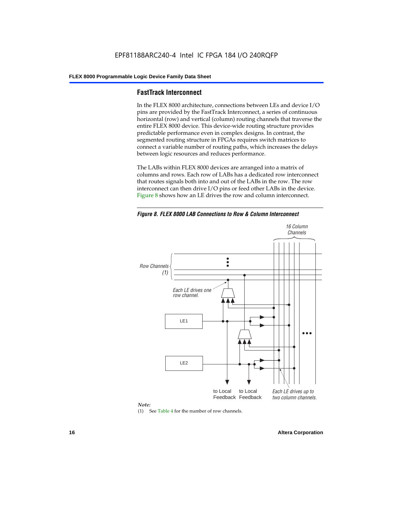### **FastTrack Interconnect**

In the FLEX 8000 architecture, connections between LEs and device I/O pins are provided by the FastTrack Interconnect, a series of continuous horizontal (row) and vertical (column) routing channels that traverse the entire FLEX 8000 device. This device-wide routing structure provides predictable performance even in complex designs. In contrast, the segmented routing structure in FPGAs requires switch matrices to connect a variable number of routing paths, which increases the delays between logic resources and reduces performance.

The LABs within FLEX 8000 devices are arranged into a matrix of columns and rows. Each row of LABs has a dedicated row interconnect that routes signals both into and out of the LABs in the row. The row interconnect can then drive I/O pins or feed other LABs in the device. Figure 8 shows how an LE drives the row and column interconnect.

*Figure 8. FLEX 8000 LAB Connections to Row & Column Interconnect*





(1) See Table 4 for the number of row channels.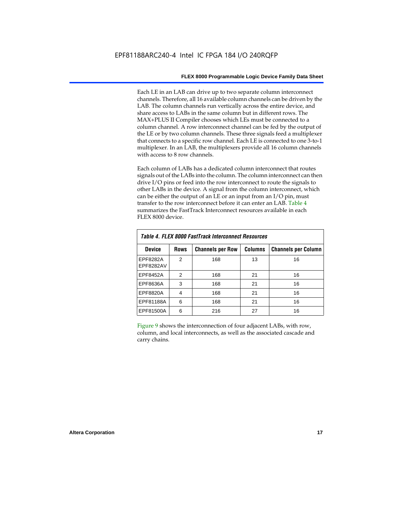Each LE in an LAB can drive up to two separate column interconnect channels. Therefore, all 16 available column channels can be driven by the LAB. The column channels run vertically across the entire device, and share access to LABs in the same column but in different rows. The MAX+PLUS II Compiler chooses which LEs must be connected to a column channel. A row interconnect channel can be fed by the output of the LE or by two column channels. These three signals feed a multiplexer that connects to a specific row channel. Each LE is connected to one 3-to-1 multiplexer. In an LAB, the multiplexers provide all 16 column channels with access to 8 row channels.

Each column of LABs has a dedicated column interconnect that routes signals out of the LABs into the column. The column interconnect can then drive I/O pins or feed into the row interconnect to route the signals to other LABs in the device. A signal from the column interconnect, which can be either the output of an LE or an input from an I/O pin, must transfer to the row interconnect before it can enter an LAB. Table 4 summarizes the FastTrack Interconnect resources available in each FLEX 8000 device.

| Table 4. FLEX 8000 FastTrack Interconnect Resources |               |                         |                |                            |  |  |  |  |  |  |
|-----------------------------------------------------|---------------|-------------------------|----------------|----------------------------|--|--|--|--|--|--|
| <b>Device</b>                                       | <b>Rows</b>   | <b>Channels per Row</b> | <b>Columns</b> | <b>Channels per Column</b> |  |  |  |  |  |  |
| EPF8282A<br>EPF8282AV                               | $\mathcal{P}$ | 168                     | 13             | 16                         |  |  |  |  |  |  |
| EPF8452A                                            | 2             | 168                     | 21             | 16                         |  |  |  |  |  |  |
| EPF8636A                                            | 3             | 168                     | 21             | 16                         |  |  |  |  |  |  |
| EPF8820A                                            | 4             | 168                     | 21             | 16                         |  |  |  |  |  |  |
| EPF81188A                                           | 6             | 168                     | 21             | 16                         |  |  |  |  |  |  |
| EPF81500A                                           | 6             | 216                     | 27             | 16                         |  |  |  |  |  |  |

Figure 9 shows the interconnection of four adjacent LABs, with row, column, and local interconnects, as well as the associated cascade and carry chains.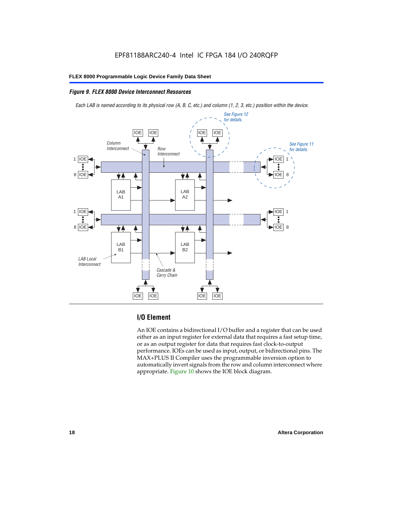### *Figure 9. FLEX 8000 Device Interconnect Resources*

*Each LAB is named according to its physical row (A, B, C, etc.) and column (1, 2, 3, etc.) position within the device.*



### **I/O Element**

An IOE contains a bidirectional I/O buffer and a register that can be used either as an input register for external data that requires a fast setup time, or as an output register for data that requires fast clock-to-output performance. IOEs can be used as input, output, or bidirectional pins. The MAX+PLUS II Compiler uses the programmable inversion option to automatically invert signals from the row and column interconnect where appropriate. Figure 10 shows the IOE block diagram.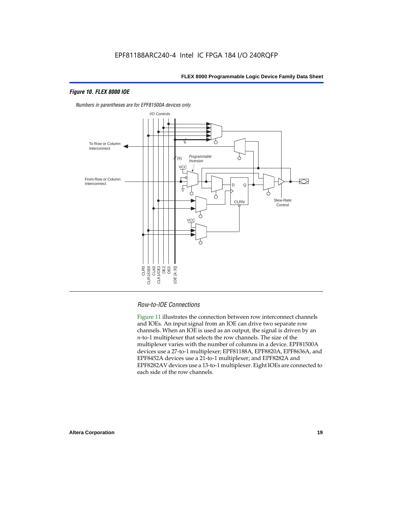### *Figure 10. FLEX 8000 IOE*



*Numbers in parentheses are for EPF81500A devices only.*

### *Row-to-IOE Connections*

Figure 11 illustrates the connection between row interconnect channels and IOEs. An input signal from an IOE can drive two separate row channels. When an IOE is used as an output, the signal is driven by an *n*-to-1 multiplexer that selects the row channels. The size of the multiplexer varies with the number of columns in a device. EPF81500A devices use a 27-to-1 multiplexer; EPF81188A, EPF8820A, EPF8636A, and EPF8452A devices use a 21-to-1 multiplexer; and EPF8282A and EPF8282AV devices use a 13-to-1 multiplexer. Eight IOEs are connected to each side of the row channels.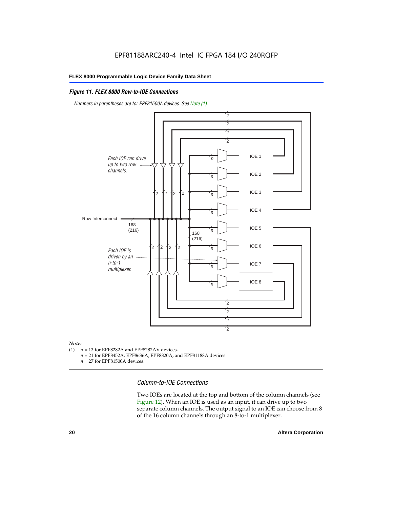### *Figure 11. FLEX 8000 Row-to-IOE Connections*

*Numbers in parentheses are for EPF81500A devices. See Note (1).*



## *Note:*<br>(1) *n*

- $n = 13$  for EPF8282A and EPF8282AV devices.
	- *n* = 21 for EPF8452A, EPF8636A, EPF8820A, and EPF81188A devices.
	- *n* = 27 for EPF81500A devices.

*Column-to-IOE Connections*

Two IOEs are located at the top and bottom of the column channels (see Figure 12). When an IOE is used as an input, it can drive up to two separate column channels. The output signal to an IOE can choose from 8 of the 16 column channels through an 8-to-1 multiplexer.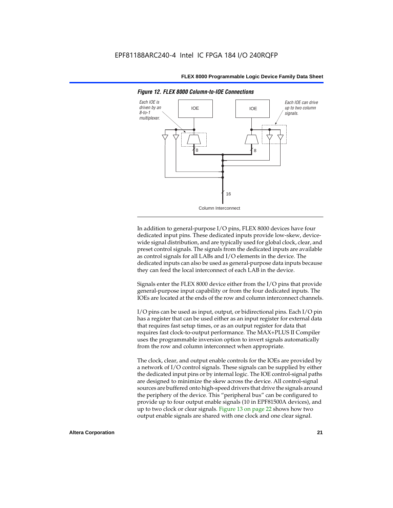

*Figure 12. FLEX 8000 Column-to-IOE Connections*

In addition to general-purpose I/O pins, FLEX 8000 devices have four dedicated input pins. These dedicated inputs provide low-skew, devicewide signal distribution, and are typically used for global clock, clear, and preset control signals. The signals from the dedicated inputs are available as control signals for all LABs and I/O elements in the device. The dedicated inputs can also be used as general-purpose data inputs because they can feed the local interconnect of each LAB in the device.

Signals enter the FLEX 8000 device either from the I/O pins that provide general-purpose input capability or from the four dedicated inputs. The IOEs are located at the ends of the row and column interconnect channels.

I/O pins can be used as input, output, or bidirectional pins. Each I/O pin has a register that can be used either as an input register for external data that requires fast setup times, or as an output register for data that requires fast clock-to-output performance. The MAX+PLUS II Compiler uses the programmable inversion option to invert signals automatically from the row and column interconnect when appropriate.

The clock, clear, and output enable controls for the IOEs are provided by a network of I/O control signals. These signals can be supplied by either the dedicated input pins or by internal logic. The IOE control-signal paths are designed to minimize the skew across the device. All control-signal sources are buffered onto high-speed drivers that drive the signals around the periphery of the device. This "peripheral bus" can be configured to provide up to four output enable signals (10 in EPF81500A devices), and up to two clock or clear signals. Figure 13 on page 22 shows how two output enable signals are shared with one clock and one clear signal.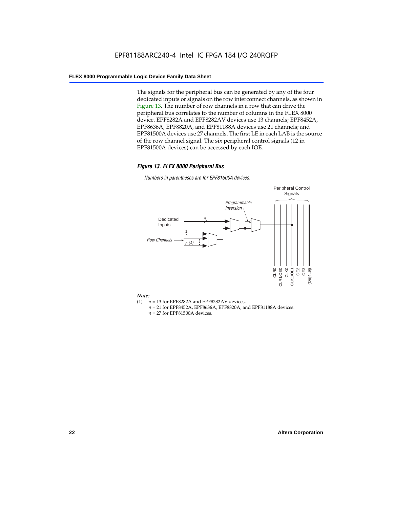The signals for the peripheral bus can be generated by any of the four dedicated inputs or signals on the row interconnect channels, as shown in Figure 13. The number of row channels in a row that can drive the peripheral bus correlates to the number of columns in the FLEX 8000 device. EPF8282A and EPF8282AV devices use 13 channels; EPF8452A, EPF8636A, EPF8820A, and EPF81188A devices use 21 channels; and EPF81500A devices use 27 channels. The first LE in each LAB is the source of the row channel signal. The six peripheral control signals (12 in EPF81500A devices) can be accessed by each IOE.

### *Figure 13. FLEX 8000 Peripheral Bus*

*Numbers in parentheses are for EPF81500A devices.*



#### *Note:*

- (1)  $n = 13$  for EPF8282A and EPF8282AV devices.
	- *n* = 21 for EPF8452A, EPF8636A, EPF8820A, and EPF81188A devices.
	- *n* = 27 for EPF81500A devices.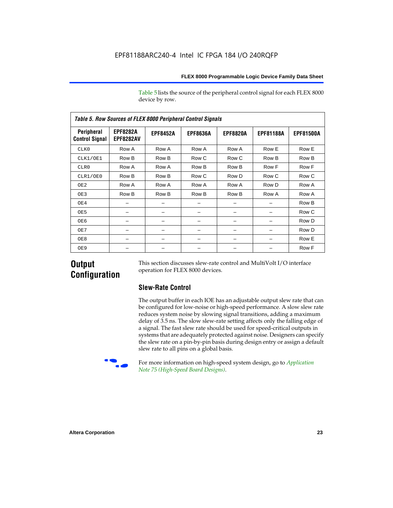Table 5 lists the source of the peripheral control signal for each FLEX 8000 device by row.

| <b>Table 5. Row Sources of FLEX 8000 Peripheral Control Signals</b> |                                     |                 |                 |                 |                  |                  |  |  |  |  |  |
|---------------------------------------------------------------------|-------------------------------------|-----------------|-----------------|-----------------|------------------|------------------|--|--|--|--|--|
| Peripheral<br><b>Control Signal</b>                                 | <b>EPF8282A</b><br><b>EPF8282AV</b> | <b>EPF8452A</b> | <b>EPF8636A</b> | <b>EPF8820A</b> | <b>EPF81188A</b> | <b>EPF81500A</b> |  |  |  |  |  |
| CLK0                                                                | Row A                               | Row A           | Row A           | Row A           | Row E            | Row E            |  |  |  |  |  |
| CLK1/OE1                                                            | Row B                               | Row B           | Row C           | Row C           | Row B            | Row B            |  |  |  |  |  |
| CLR0                                                                | Row A                               | Row A           | Row B           | Row B           | Row F            | Row F            |  |  |  |  |  |
| CLR1/OE0                                                            | Row B                               | Row B           | Row C           | Row D           | Row C            | Row C            |  |  |  |  |  |
| OE <sub>2</sub>                                                     | Row A                               | Row A           | Row A           | Row A           | Row D            | Row A            |  |  |  |  |  |
| OE3                                                                 | Row B                               | Row B           | Row B           | Row B           | Row A            | Row A            |  |  |  |  |  |
| OE4                                                                 |                                     |                 |                 |                 |                  | Row B            |  |  |  |  |  |
| OE5                                                                 |                                     |                 |                 |                 |                  | Row C            |  |  |  |  |  |
| OE6                                                                 |                                     |                 |                 |                 |                  | Row D            |  |  |  |  |  |
| OE7                                                                 |                                     |                 |                 |                 |                  | Row D            |  |  |  |  |  |
| OE8                                                                 |                                     |                 |                 |                 |                  | Row E            |  |  |  |  |  |
| OE9                                                                 |                                     |                 |                 |                 |                  | Row F            |  |  |  |  |  |

### **Output Configuration**

This section discusses slew-rate control and MultiVolt I/O interface operation for FLEX 8000 devices.

### **Slew-Rate Control**

The output buffer in each IOE has an adjustable output slew rate that can be configured for low-noise or high-speed performance. A slow slew rate reduces system noise by slowing signal transitions, adding a maximum delay of 3.5 ns. The slow slew-rate setting affects only the falling edge of a signal. The fast slew rate should be used for speed-critical outputs in systems that are adequately protected against noise. Designers can specify the slew rate on a pin-by-pin basis during design entry or assign a default slew rate to all pins on a global basis.



For more information on high-speed system design, go to *Application Note 75 (High-Speed Board Designs)*.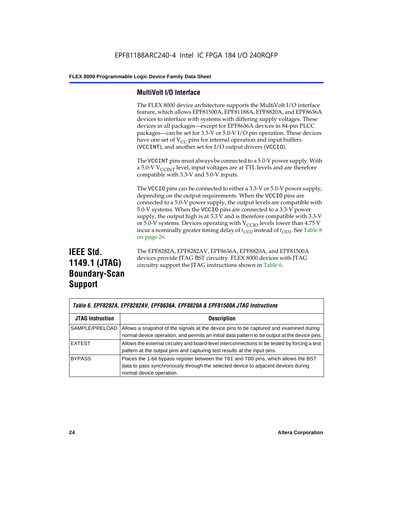### **MultiVolt I/O Interface**

The FLEX 8000 device architecture supports the MultiVolt I/O interface feature, which allows EPF81500A, EPF81188A, EPF8820A, and EPF8636A devices to interface with systems with differing supply voltages. These devices in all packages—except for EPF8636A devices in 84-pin PLCC packages—can be set for 3.3-V or 5.0-V I/O pin operation. These devices have one set of  $V_{CC}$  pins for internal operation and input buffers (VCCINT), and another set for I/O output drivers (VCCIO).

The VCCINT pins must always be connected to a 5.0-V power supply. With a 5.0-V  $V_{\text{CCINT}}$  level, input voltages are at TTL levels and are therefore compatible with 3.3-V and 5.0-V inputs.

The VCCIO pins can be connected to either a 3.3-V or 5.0-V power supply, depending on the output requirements. When the VCCIO pins are connected to a 5.0-V power supply, the output levels are compatible with 5.0-V systems. When the VCCIO pins are connected to a 3.3-V power supply, the output high is at 3.3 V and is therefore compatible with 3.3-V or 5.0-V systems. Devices operating with  $V_{\text{C}CD}$  levels lower than 4.75 V incur a nominally greater timing delay of  $t_{OD2}$  instead of  $t_{OD1}$ . See Table 8 on page 26.

### **IEEE Std. 1149.1 (JTAG) Boundary-Scan Support**

The EPF8282A, EPF8282AV, EPF8636A, EPF8820A, and EPF81500A devices provide JTAG BST circuitry. FLEX 8000 devices with JTAG circuitry support the JTAG instructions shown in Table 6.

| Table 6. EPF8282A, EPF8282AV, EPF8636A, EPF8820A & EPF81500A JTAG Instructions |                                                                                                                                                                                                      |  |  |  |  |  |
|--------------------------------------------------------------------------------|------------------------------------------------------------------------------------------------------------------------------------------------------------------------------------------------------|--|--|--|--|--|
| <b>JTAG Instruction</b>                                                        | <b>Description</b>                                                                                                                                                                                   |  |  |  |  |  |
| SAMPLE/PRELOAD                                                                 | Allows a snapshot of the signals at the device pins to be captured and examined during<br>normal device operation, and permits an initial data pattern to be output at the device pins.              |  |  |  |  |  |
| <b>EXTEST</b>                                                                  | Allows the external circuitry and board-level interconnections to be tested by forcing a test<br>pattern at the output pins and capturing test results at the input pins.                            |  |  |  |  |  |
| <b>BYPASS</b>                                                                  | Places the 1-bit bypass register between the TDI and TDO pins, which allows the BST<br>data to pass synchronously through the selected device to adjacent devices during<br>normal device operation. |  |  |  |  |  |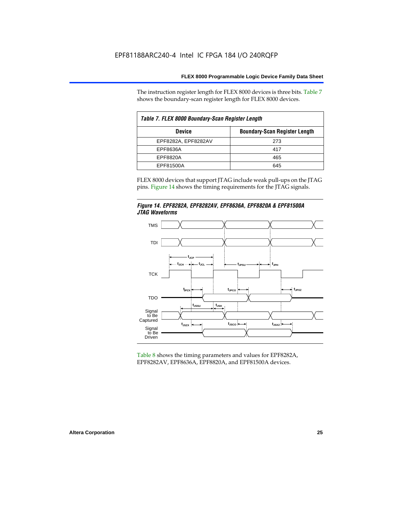The instruction register length for FLEX 8000 devices is three bits. Table 7 shows the boundary-scan register length for FLEX 8000 devices.

| Table 7. FLEX 8000 Boundary-Scan Register Length |                                      |  |  |  |  |  |  |
|--------------------------------------------------|--------------------------------------|--|--|--|--|--|--|
| <b>Device</b>                                    | <b>Boundary-Scan Register Length</b> |  |  |  |  |  |  |
| EPF8282A, EPF8282AV                              | 273                                  |  |  |  |  |  |  |
| EPF8636A                                         | 417                                  |  |  |  |  |  |  |
| EPF8820A                                         | 465                                  |  |  |  |  |  |  |
| EPF81500A                                        | 645                                  |  |  |  |  |  |  |

FLEX 8000 devices that support JTAG include weak pull-ups on the JTAG

pins. Figure 14 shows the timing requirements for the JTAG signals.





Table 8 shows the timing parameters and values for EPF8282A, EPF8282AV, EPF8636A, EPF8820A, and EPF81500A devices.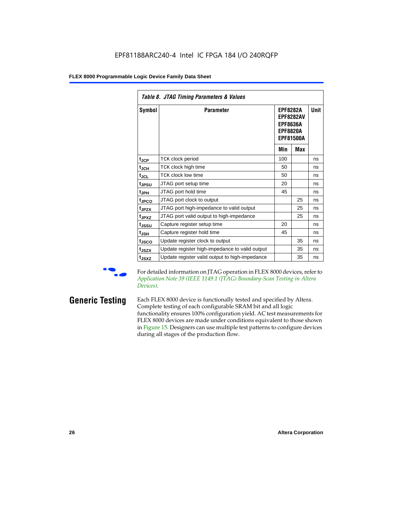| Table 8. JTAG Timing Parameters & Values |                                                |                                                                                               |     |      |  |  |  |  |  |  |
|------------------------------------------|------------------------------------------------|-----------------------------------------------------------------------------------------------|-----|------|--|--|--|--|--|--|
| Symbol                                   | <b>Parameter</b>                               | <b>EPF8282A</b><br><b>EPF8282AV</b><br><b>EPF8636A</b><br><b>EPF8820A</b><br><b>EPF81500A</b> |     | Unit |  |  |  |  |  |  |
|                                          |                                                | Min                                                                                           | Max |      |  |  |  |  |  |  |
| $t_{\rm JCP}$                            | TCK clock period                               | 100                                                                                           |     | ns   |  |  |  |  |  |  |
| t <sub>JCH</sub>                         | TCK clock high time                            | 50                                                                                            |     | ns   |  |  |  |  |  |  |
| $t_{JCL}$                                | TCK clock low time                             | 50                                                                                            |     | ns   |  |  |  |  |  |  |
| t <sub>JPSU</sub>                        | JTAG port setup time                           | 20                                                                                            |     | ns   |  |  |  |  |  |  |
| t <sub>JPH</sub>                         | JTAG port hold time                            | 45                                                                                            |     | ns   |  |  |  |  |  |  |
| t <sub>JPCO</sub>                        | JTAG port clock to output                      |                                                                                               | 25  | ns   |  |  |  |  |  |  |
| t <sub>JPZX</sub>                        | JTAG port high-impedance to valid output       |                                                                                               | 25  | ns   |  |  |  |  |  |  |
| t <sub>JPXZ</sub>                        | JTAG port valid output to high-impedance       |                                                                                               | 25  | ns   |  |  |  |  |  |  |
| tjssu                                    | Capture register setup time                    | 20                                                                                            |     | ns   |  |  |  |  |  |  |
| $t_{JSH}$                                | Capture register hold time                     | 45                                                                                            |     | ns   |  |  |  |  |  |  |
| tjsco                                    | Update register clock to output                |                                                                                               | 35  | ns   |  |  |  |  |  |  |
| t <sub>JSZX</sub>                        | Update register high-impedance to valid output |                                                                                               | 35  | ns   |  |  |  |  |  |  |
| tjsxz                                    | Update register valid output to high-impedance |                                                                                               | 35  | ns   |  |  |  |  |  |  |

For detailed information on JTAG operation in FLEX 8000 devices, refer to *Application Note 39 (IEEE 1149.1 (JTAG) Boundary-Scan Testing in Altera Devices)*.

**Generic Testing** Each FLEX 8000 device is functionally tested and specified by Altera. Complete testing of each configurable SRAM bit and all logic functionality ensures 100% configuration yield. AC test measurements for FLEX 8000 devices are made under conditions equivalent to those shown in Figure 15. Designers can use multiple test patterns to configure devices during all stages of the production flow.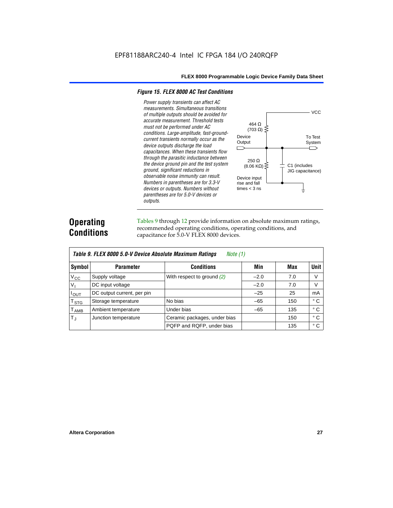#### *Figure 15. FLEX 8000 AC Test Conditions*

*Power supply transients can affect AC measurements. Simultaneous transitions*  **VCC** *of multiple outputs should be avoided for accurate measurement. Threshold tests*  464 Ω *must not be performed under AC*   $(703 \Omega)$ *conditions. Large-amplitude, fast-ground-*Device To Test *current transients normally occur as the*  **Output** System *device outputs discharge the load*   $\Box$ ⌒ *capacitances. When these transients flow through the parasitic inductance between*  250 Ω *the device ground pin and the test system*   $(8.06 \text{ K}\Omega)$ C1 (includes *ground, significant reductions in*  JIG capacitance) *observable noise immunity can result.*  Device input *Numbers in parentheses are for 3.3-V*  rise and fall *devices or outputs. Numbers without*  times  $<$  3 ns ╧ *parentheses are for 5.0-V devices or outputs.*

### **Operating Conditions**

Tables 9 through 12 provide information on absolute maximum ratings, recommended operating conditions, operating conditions, and capacitance for 5.0-V FLEX 8000 devices.

|               | Table 9. FLEX 8000 5.0-V Device Absolute Maximum Ratings<br>Note (1) |                              |        |     |              |  |  |  |  |  |  |
|---------------|----------------------------------------------------------------------|------------------------------|--------|-----|--------------|--|--|--|--|--|--|
| Symbol        | <b>Parameter</b>                                                     | <b>Conditions</b>            | Min    | Max | <b>Unit</b>  |  |  |  |  |  |  |
| $V_{\rm CC}$  | Supply voltage                                                       | With respect to ground (2)   | $-2.0$ | 7.0 | V            |  |  |  |  |  |  |
| $V_{1}$       | DC input voltage                                                     |                              | $-2.0$ | 7.0 | V            |  |  |  |  |  |  |
| $I_{OUT}$     | DC output current, per pin                                           |                              | $-25$  | 25  | mA           |  |  |  |  |  |  |
| $T_{STG}$     | Storage temperature                                                  | No bias                      | $-65$  | 150 | $^{\circ}$ C |  |  |  |  |  |  |
| $T_{\rm AMB}$ | Ambient temperature                                                  | Under bias                   | $-65$  | 135 | $^{\circ}$ C |  |  |  |  |  |  |
| $T_{\rm J}$   | Junction temperature                                                 | Ceramic packages, under bias |        | 150 | $^{\circ}$ C |  |  |  |  |  |  |
|               |                                                                      | PQFP and RQFP, under bias    |        | 135 | ° C          |  |  |  |  |  |  |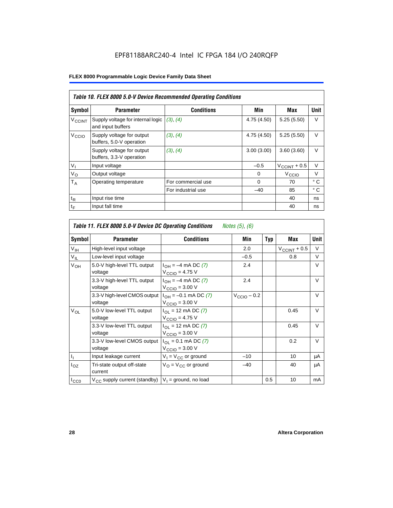|                          | Table 10. FLEX 8000 5.0-V Device Recommended Operating Conditions |                    |             |                          |              |  |  |  |  |  |
|--------------------------|-------------------------------------------------------------------|--------------------|-------------|--------------------------|--------------|--|--|--|--|--|
| Symbol                   | <b>Parameter</b>                                                  | <b>Conditions</b>  | Min         | Max                      | Unit         |  |  |  |  |  |
| <b>V<sub>CCINT</sub></b> | Supply voltage for internal logic<br>and input buffers            | (3), (4)           | 4.75 (4.50) | 5.25(5.50)               | $\vee$       |  |  |  |  |  |
| V <sub>CCIO</sub>        | Supply voltage for output<br>buffers, 5.0-V operation             | (3), (4)           | 4.75 (4.50) | 5.25(5.50)               | $\vee$       |  |  |  |  |  |
|                          | Supply voltage for output<br>buffers, 3.3-V operation             | (3), (4)           | 3.00(3.00)  | 3.60(3.60)               | V            |  |  |  |  |  |
| $V_{I}$                  | Input voltage                                                     |                    | $-0.5$      | $V_{\text{CCINT}} + 0.5$ | $\vee$       |  |  |  |  |  |
| $V_{\rm O}$              | Output voltage                                                    |                    | 0           | V <sub>CCIO</sub>        | $\vee$       |  |  |  |  |  |
| $T_A$                    | Operating temperature                                             | For commercial use | $\Omega$    | 70                       | $^{\circ}$ C |  |  |  |  |  |
|                          |                                                                   | For industrial use | $-40$       | 85                       | $^{\circ}$ C |  |  |  |  |  |
| $t_{R}$                  | Input rise time                                                   |                    |             | 40                       | ns           |  |  |  |  |  |
| $t_F$                    | Input fall time                                                   |                    |             | 40                       | ns           |  |  |  |  |  |

| Table 11. FLEX 8000 5.0-V Device DC Operating Conditions<br>Notes (5), (6) |                                         |                                                                      |                         |            |                       |             |  |  |  |
|----------------------------------------------------------------------------|-----------------------------------------|----------------------------------------------------------------------|-------------------------|------------|-----------------------|-------------|--|--|--|
| Symbol                                                                     | <b>Parameter</b>                        | <b>Conditions</b>                                                    | Min                     | <b>Typ</b> | Max                   | <b>Unit</b> |  |  |  |
| V <sub>IH</sub>                                                            | High-level input voltage                |                                                                      | 2.0                     |            | $V_{\rm CCINT}$ + 0.5 | V           |  |  |  |
| $V_{IL}$                                                                   | Low-level input voltage                 |                                                                      | $-0.5$                  |            | 0.8                   | V           |  |  |  |
| V <sub>OH</sub>                                                            | 5.0-V high-level TTL output<br>voltage  | $I_{OH} = -4$ mA DC (7)<br>$V_{\text{CCIO}} = 4.75 V$                | 2.4                     |            |                       | V           |  |  |  |
|                                                                            | 3.3-V high-level TTL output<br>voltage  | $I_{OH} = -4$ mA DC (7)<br>$V_{CCD}$ = 3.00 V                        | 2.4                     |            |                       | V           |  |  |  |
|                                                                            | 3.3-V high-level CMOS output<br>voltage | $I_{OH} = -0.1$ mA DC (7)<br>$V_{\text{CCIO}} = 3.00 \text{ V}$      | $V_{\text{CCIO}} - 0.2$ |            |                       | $\vee$      |  |  |  |
| $V_{OL}$                                                                   | 5.0-V low-level TTL output<br>voltage   | $I_{OL}$ = 12 mA DC (7)<br>$V_{\text{CCIO}} = 4.75 V$                |                         |            | 0.45                  | $\vee$      |  |  |  |
|                                                                            | 3.3-V low-level TTL output<br>voltage   | $I_{\text{OI}}$ = 12 mA DC (7)<br>$V_{\text{CCIO}} = 3.00 \text{ V}$ |                         |            | 0.45                  | $\vee$      |  |  |  |
|                                                                            | 3.3-V low-level CMOS output<br>voltage  | $I_{\Omega I} = 0.1$ mA DC (7)<br>$V_{\text{CCIO}} = 3.00 \text{ V}$ |                         |            | 0.2                   | $\vee$      |  |  |  |
| $I_1$                                                                      | Input leakage current                   | $V_1 = V_{CC}$ or ground                                             | $-10$                   |            | 10                    | μA          |  |  |  |
| $I_{OZ}$                                                                   | Tri-state output off-state<br>current   | $V_{\Omega}$ = $V_{\Omega}$ or ground                                | $-40$                   |            | 40                    | μA          |  |  |  |
| $I_{CC0}$                                                                  | $V_{CC}$ supply current (standby)       | $V_1$ = ground, no load                                              |                         | 0.5        | 10                    | mA          |  |  |  |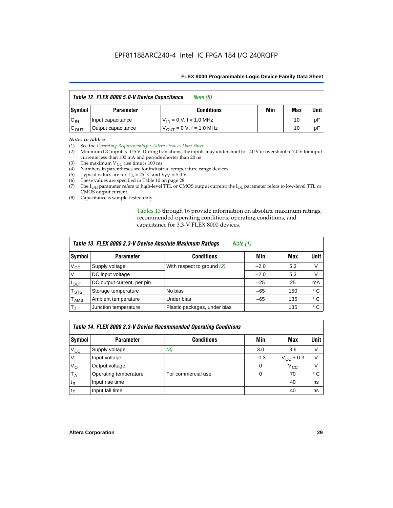| Table 12. FLEX 8000 5.0-V Device Capacitance<br>Note (8) |                    |                               |     |     |        |
|----------------------------------------------------------|--------------------|-------------------------------|-----|-----|--------|
| Symbol                                                   | <b>Parameter</b>   | <b>Conditions</b>             | Min | Max | Unit I |
| $C_{IN}$                                                 | Input capacitance  | $V_{IN} = 0 V$ , f = 1.0 MHz  |     | 10  | pF     |
| $C_{OUT}$                                                | Output capacitance | $V_{OIII}$ = 0 V, f = 1.0 MHz |     | 10  | pF     |

#### *Notes to tables:*

(1) See the *Operating Requirements for Altera Devices Data Sheet*.

- (2) Minimum DC input is –0.5 V. During transitions, the inputs may undershoot to –2.0 V or overshoot to 7.0 V for input currents less than 100 mA and periods shorter than 20 ns.
- (3) The maximum  $V_{CC}$  rise time is 100 ms.
- (4) Numbers in parentheses are for industrial-temperature-range devices.
- (5) Typical values are for  $T_A = 25^\circ$  C and  $V_{CC} = 5.0$  V.
- (6) These values are specified in Table 10 on page 28.
- (7) The  $I_{OH}$  parameter refers to high-level TTL or CMOS output current; the  $I_{OL}$  parameter refers to low-level TTL or CMOS output current.
- (8) Capacitance is sample-tested only.

Tables 13 through 16 provide information on absolute maximum ratings, recommended operating conditions, operating conditions, and capacitance for 3.3-V FLEX 8000 devices.

| Table 13. FLEX 8000 3.3-V Device Absolute Maximum Ratings<br><i>Note</i> $(1)$ |                            |                              |        |     |      |  |  |
|--------------------------------------------------------------------------------|----------------------------|------------------------------|--------|-----|------|--|--|
| Symbol                                                                         | <b>Parameter</b>           | <b>Conditions</b>            | Min    | Max | Unit |  |  |
| $V_{CC}$                                                                       | Supply voltage             | With respect to ground $(2)$ | $-2.0$ | 5.3 | V    |  |  |
| V <sub>1</sub>                                                                 | DC input voltage           |                              | $-2.0$ | 5.3 | v    |  |  |
| $I_{\text{OUT}}$                                                               | DC output current, per pin |                              | $-25$  | 25  | mA   |  |  |
| T <sub>STG</sub>                                                               | Storage temperature        | No bias                      | $-65$  | 150 | ° C  |  |  |
| <b>T</b> <sub>AMB</sub>                                                        | Ambient temperature        | Under bias                   | $-65$  | 135 | ° C  |  |  |
| $T_J$                                                                          | Junction temperature       | Plastic packages, under bias |        | 135 | ° C  |  |  |

| Table 14. FLEX 8000 3.3-V Device Recommended Operating Conditions |                       |                    |          |                    |        |  |  |
|-------------------------------------------------------------------|-----------------------|--------------------|----------|--------------------|--------|--|--|
| Symbol                                                            | <b>Parameter</b>      | <b>Conditions</b>  | Min      | Max                | Unit I |  |  |
| $V_{\rm CC}$                                                      | Supply voltage        | (3)                | 3.0      | 3.6                | V      |  |  |
| $V_{1}$                                                           | Input voltage         |                    | $-0.3$   | $V_{\rm CC}$ + 0.3 | $\vee$ |  |  |
| $V_{\rm O}$                                                       | Output voltage        |                    | $\Omega$ | $V_{\rm CC}$       | $\vee$ |  |  |
| $T_A$                                                             | Operating temperature | For commercial use | 0        | 70                 | ۰c     |  |  |
| $t_{R}$                                                           | Input rise time       |                    |          | 40                 | ns     |  |  |
| $t_F$                                                             | Input fall time       |                    |          | 40                 | ns     |  |  |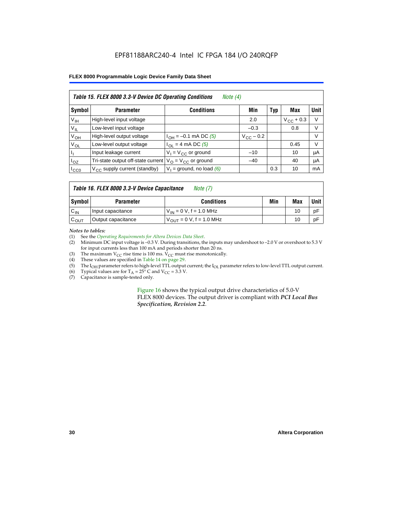| Table 15. FLEX 8000 3.3-V Device DC Operating Conditions<br>Note $(4)$ |                                          |                                          |                    |     |                    |        |  |
|------------------------------------------------------------------------|------------------------------------------|------------------------------------------|--------------------|-----|--------------------|--------|--|
| Symbol                                                                 | <b>Parameter</b>                         | <b>Conditions</b>                        | Min                | Typ | Max                | Unit   |  |
| V <sub>IH</sub>                                                        | High-level input voltage                 |                                          | 2.0                |     | $V_{\rm CC}$ + 0.3 | $\vee$ |  |
| $V_{IL}$                                                               | Low-level input voltage                  |                                          | $-0.3$             |     | 0.8                | V      |  |
| $V_{OH}$                                                               | High-level output voltage                | $I_{OH} = -0.1$ mA DC (5)                | $V_{\rm CC}$ – 0.2 |     |                    | V      |  |
| $V_{OL}$                                                               | Low-level output voltage                 | $I_{OL}$ = 4 mA DC (5)                   |                    |     | 0.45               | $\vee$ |  |
| П                                                                      | Input leakage current                    | $V_1 = V_{CC}$ or ground                 | $-10$              |     | 10                 | μA     |  |
| $I_{OZ}$                                                               | Tri-state output off-state current       | $V_{\text{O}} = V_{\text{CC}}$ or ground | $-40$              |     | 40                 | μA     |  |
| ICCO                                                                   | $V_{\text{CC}}$ supply current (standby) | $V_1$ = ground, no load (6)              |                    | 0.3 | 10                 | mA     |  |

| Table 16. FLEX 8000 3.3-V Device Capacitance | Note $(7)$ |
|----------------------------------------------|------------|
|----------------------------------------------|------------|

| Symbol           | <b>Parameter</b>   | <b>Conditions</b>                   | Min | Max | Unit |
|------------------|--------------------|-------------------------------------|-----|-----|------|
| $C_{IN}$         | Input capacitance  | $V_{1N} = 0 V$ , f = 1.0 MHz        |     | 10  | рF   |
| $c_{\text{OUT}}$ | Output capacitance | $V_{\text{OUT}} = 0 V, f = 1.0 MHz$ |     | 10  | pF   |

*Notes to tables:*

(1) See the *Operating Requirements for Altera Devices Data Sheet*.

(2) Minimum DC input voltage is –0.3 V. During transitions, the inputs may undershoot to –2.0 V or overshoot to 5.3 V for input currents less than 100 mA and periods shorter than 20 ns.

(3) The maximum  $V_{CC}$  rise time is 100 ms.  $V_{CC}$  must rise monotonically.<br>(4) These values are specified in Table 14 on page 29.

These values are specified in Table 14 on page 29.

(5) The I<sub>OH</sub> parameter refers to high-level TTL output current; the I<sub>OL</sub> parameter refers to low-level TTL output current.<br>(6) Typical values are for T<sub>A</sub> = 25° C and V<sub>CC</sub> = 3.3 V.

(6) Typical values are for  $T_A = 25^\circ$  C and  $V_{CC} = 3.3$  V.<br>(7) Capacitance is sample-tested only.

Capacitance is sample-tested only.

Figure 16 shows the typical output drive characteristics of 5.0-V FLEX 8000 devices. The output driver is compliant with *PCI Local Bus Specification, Revision 2.2*.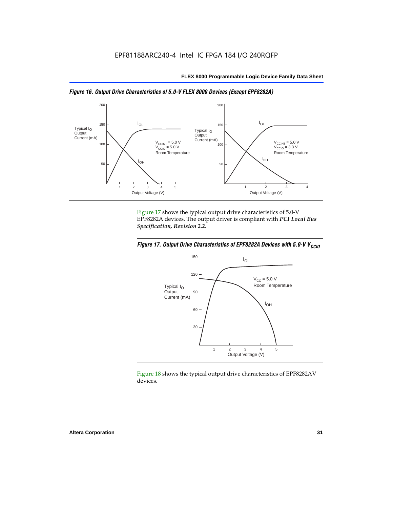



Figure 17 shows the typical output drive characteristics of 5.0-V EPF8282A devices. The output driver is compliant with *PCI Local Bus Specification, Revision 2.2*.





Figure 18 shows the typical output drive characteristics of EPF8282AV devices.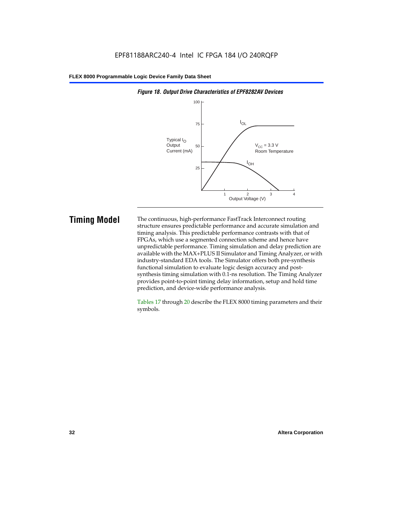

#### *Figure 18. Output Drive Characteristics of EPF8282AV Devices*

**Timing Model** The continuous, high-performance FastTrack Interconnect routing structure ensures predictable performance and accurate simulation and timing analysis. This predictable performance contrasts with that of FPGAs, which use a segmented connection scheme and hence have unpredictable performance. Timing simulation and delay prediction are available with the MAX+PLUS II Simulator and Timing Analyzer, or with industry-standard EDA tools. The Simulator offers both pre-synthesis functional simulation to evaluate logic design accuracy and postsynthesis timing simulation with 0.1-ns resolution. The Timing Analyzer provides point-to-point timing delay information, setup and hold time prediction, and device-wide performance analysis.

> Tables 17 through 20 describe the FLEX 8000 timing parameters and their symbols.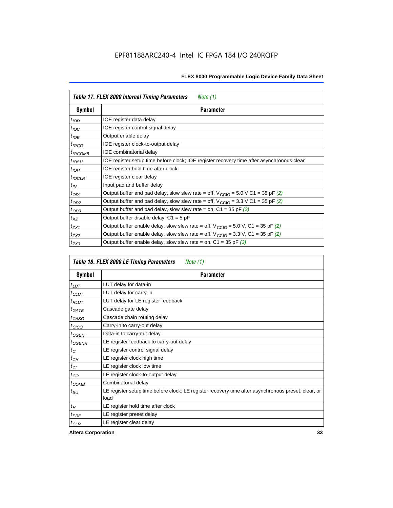| Table 17. FLEX 8000 Internal Timing Parameters<br>Note $(1)$ |                                                                                                              |  |  |  |  |
|--------------------------------------------------------------|--------------------------------------------------------------------------------------------------------------|--|--|--|--|
| Symbol                                                       | <b>Parameter</b>                                                                                             |  |  |  |  |
| $t_{\text{IOD}}$                                             | IOE register data delay                                                                                      |  |  |  |  |
| $t_{\text{IOC}}$                                             | IOE register control signal delay                                                                            |  |  |  |  |
| $t_{IOE}$                                                    | Output enable delay                                                                                          |  |  |  |  |
| $t_{IOCO}$                                                   | IOE register clock-to-output delay                                                                           |  |  |  |  |
| $t_{IOCOMB}$                                                 | IOE combinatorial delay                                                                                      |  |  |  |  |
| $t_{IOSU}$                                                   | IOE register setup time before clock; IOE register recovery time after asynchronous clear                    |  |  |  |  |
| $t_{IOH}$                                                    | IOE register hold time after clock                                                                           |  |  |  |  |
| $t_{IOCLR}$                                                  | IOE register clear delay                                                                                     |  |  |  |  |
| $t_{IN}$                                                     | Input pad and buffer delay                                                                                   |  |  |  |  |
| $t_{OD1}$                                                    | Output buffer and pad delay, slow slew rate = off, $V_{\text{CCIO}} = 5.0 \text{ V C1} = 35 \text{ pF } (2)$ |  |  |  |  |
| $t_{OD2}$                                                    | Output buffer and pad delay, slow slew rate = off, $V_{\text{CCIO}} = 3.3 \text{ V C1} = 35 \text{ pF}$ (2)  |  |  |  |  |
| $t_{OD3}$                                                    | Output buffer and pad delay, slow slew rate = on, $C1 = 35$ pF (3)                                           |  |  |  |  |
| $t_{XZ}$                                                     | Output buffer disable delay, $C1 = 5$ pF                                                                     |  |  |  |  |
| $t_{ZX1}$                                                    | Output buffer enable delay, slow slew rate = off, $V_{\text{CCIO}} = 5.0$ V, C1 = 35 pF (2)                  |  |  |  |  |
| $t_{ZX2}$                                                    | Output buffer enable delay, slow slew rate = off, $V_{\text{CCIO}} = 3.3$ V, C1 = 35 pF (2)                  |  |  |  |  |
| $t_{ZX3}$                                                    | Output buffer enable delay, slow slew rate = on, $C1 = 35$ pF (3)                                            |  |  |  |  |

| Table 18. FLEX 8000 LE Timing Parameters<br>Note (1) |                                                                                                             |  |  |  |  |
|------------------------------------------------------|-------------------------------------------------------------------------------------------------------------|--|--|--|--|
| Symbol                                               | <b>Parameter</b>                                                                                            |  |  |  |  |
| $t_{LUT}$                                            | LUT delay for data-in                                                                                       |  |  |  |  |
| $t_{CLUT}$                                           | LUT delay for carry-in                                                                                      |  |  |  |  |
| $t_{RLUT}$                                           | LUT delay for LE register feedback                                                                          |  |  |  |  |
| $t$ GATE                                             | Cascade gate delay                                                                                          |  |  |  |  |
| $t_{CASC}$                                           | Cascade chain routing delay                                                                                 |  |  |  |  |
| $t_{CICO}$                                           | Carry-in to carry-out delay                                                                                 |  |  |  |  |
| $t_{CGEN}$                                           | Data-in to carry-out delay                                                                                  |  |  |  |  |
| ${}^{t}$ CGENR                                       | LE register feedback to carry-out delay                                                                     |  |  |  |  |
| $t_C$                                                | LE register control signal delay                                                                            |  |  |  |  |
| $t_{CH}$                                             | LE register clock high time                                                                                 |  |  |  |  |
| $t_{CL}$                                             | LE register clock low time                                                                                  |  |  |  |  |
| $t_{CO}$                                             | LE register clock-to-output delay                                                                           |  |  |  |  |
| $t_{COMB}$                                           | Combinatorial delay                                                                                         |  |  |  |  |
| t <sub>SU</sub>                                      | LE register setup time before clock; LE register recovery time after asynchronous preset, clear, or<br>load |  |  |  |  |
| $t_H$                                                | LE register hold time after clock                                                                           |  |  |  |  |
| $t_{PRE}$                                            | LE register preset delay                                                                                    |  |  |  |  |
| $t_{CLR}$                                            | LE register clear delay                                                                                     |  |  |  |  |

**Altera Corporation 33**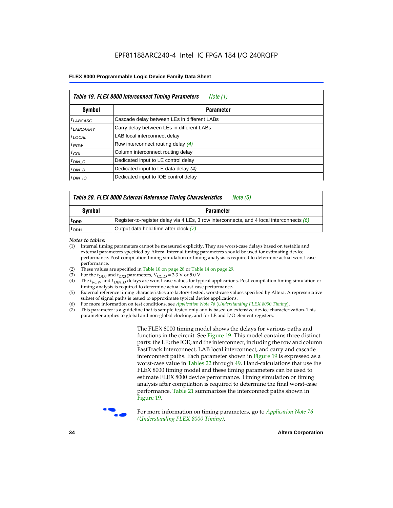| Table 19. FLEX 8000 Interconnect Timing Parameters<br>Note (1) |                                             |  |  |  |  |
|----------------------------------------------------------------|---------------------------------------------|--|--|--|--|
| Symbol                                                         | <b>Parameter</b>                            |  |  |  |  |
| <sup>t</sup> LABCASC                                           | Cascade delay between LEs in different LABs |  |  |  |  |
| $t_{LABCARRY}$                                                 | Carry delay between LEs in different LABs   |  |  |  |  |
| $t_{\text{LOCAL}}$                                             | LAB local interconnect delay                |  |  |  |  |
| $t_{ROW}$                                                      | Row interconnect routing delay (4)          |  |  |  |  |
| $t_{COL}$                                                      | Column interconnect routing delay           |  |  |  |  |
| $t_{DIN}$ $C$                                                  | Dedicated input to LE control delay         |  |  |  |  |
| $t_{DIN}$ D                                                    | Dedicated input to LE data delay (4)        |  |  |  |  |
| $t_{DIN}$ 10                                                   | Dedicated input to IOE control delay        |  |  |  |  |

### *Table 20. FLEX 8000 External Reference Timing Characteristics Note (5)*

| Symbol<br>Parameter |                                                                                            |  |
|---------------------|--------------------------------------------------------------------------------------------|--|
| <sup>T</sup> DRR    | Register-to-register delay via 4 LEs, 3 row interconnects, and 4 local interconnects $(6)$ |  |
| <sup>L</sup> ODH    | Output data hold time after clock (7)                                                      |  |

*Notes to tables:*

- (1) Internal timing parameters cannot be measured explicitly. They are worst-case delays based on testable and external parameters specified by Altera. Internal timing parameters should be used for estimating device performance. Post-compilation timing simulation or timing analysis is required to determine actual worst-case performance.
- (2) These values are specified in Table 10 on page 28 or Table 14 on page 29.<br>(3) For the  $t_{OD3}$  and  $t_{ZX3}$  parameters,  $V_{CCIO} = 3.3$  V or 5.0 V.
- (3) For the  $t_{OD3}$  and  $t_{ZX3}$  parameters,  $V_{CCIO} = 3.3$  V or 5.0 V.<br>(4) The  $t_{ROM}$  and  $t_{DIN}$   $_D$  delays are worst-case values for type
- The *t<sub>ROW</sub>* and *t<sub>DIN\_D</sub>* delays are worst-case values for typical applications. Post-compilation timing simulation or timing analysis is required to determine actual worst-case performance.
- (5) External reference timing characteristics are factory-tested, worst-case values specified by Altera. A representative subset of signal paths is tested to approximate typical device applications.
- (6) For more information on test conditions, see *Application Note 76* (*Understanding FLEX 8000 Timing*).
- (7) This parameter is a guideline that is sample-tested only and is based on extensive device characterization. This parameter applies to global and non-global clocking, and for LE and I/O element registers.

The FLEX 8000 timing model shows the delays for various paths and functions in the circuit. See Figure 19. This model contains three distinct parts: the LE; the IOE; and the interconnect, including the row and column FastTrack Interconnect, LAB local interconnect, and carry and cascade interconnect paths. Each parameter shown in Figure 19 is expressed as a worst-case value in Tables 22 through 49. Hand-calculations that use the FLEX 8000 timing model and these timing parameters can be used to estimate FLEX 8000 device performance. Timing simulation or timing analysis after compilation is required to determine the final worst-case performance. Table 21 summarizes the interconnect paths shown in Figure 19.



f For more information on timing parameters, go to *Application Note 76 (Understanding FLEX 8000 Timing)*.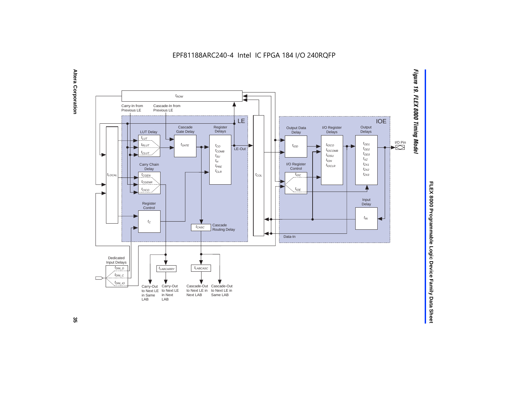EPF81188ARC240-4 Intel IC FPGA 184 I/O 240RQFP



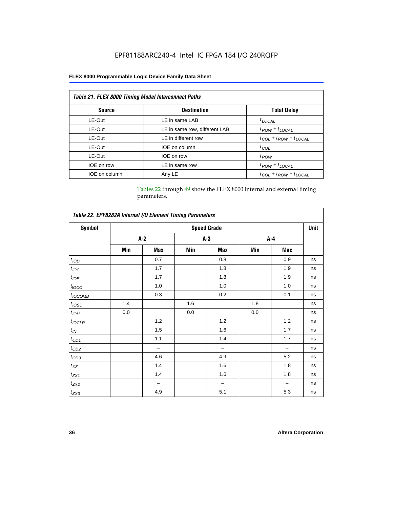| <b>Table 21. FLEX 8000 Timing Model Interconnect Paths</b> |                               |                                 |  |  |  |  |
|------------------------------------------------------------|-------------------------------|---------------------------------|--|--|--|--|
| <b>Source</b>                                              | <b>Destination</b>            | <b>Total Delay</b>              |  |  |  |  |
| LE-Out                                                     | LE in same LAB                | $t_{LOCAL}$                     |  |  |  |  |
| LE-Out                                                     | LE in same row, different LAB | $t_{ROW} + t_{LOCAL}$           |  |  |  |  |
| LE-Out                                                     | LE in different row           | $t_{COL} + t_{ROW} + t_{LOCAL}$ |  |  |  |  |
| LE-Out                                                     | IOE on column                 | $t_{COL}$                       |  |  |  |  |
| LE-Out                                                     | IOE on row                    | $t_{ROW}$                       |  |  |  |  |
| IOE on row                                                 | LE in same row                | $t_{ROW} + t_{LOCAL}$           |  |  |  |  |
| IOE on column                                              | Any LE                        | $t_{COL} + t_{ROW} + t_{LOCAL}$ |  |  |  |  |

Tables 22 through 49 show the FLEX 8000 internal and external timing parameters.

| Table 22. EPF8282A Internal I/O Element Timing Parameters |                    |       |       |                          |       |     |    |  |
|-----------------------------------------------------------|--------------------|-------|-------|--------------------------|-------|-----|----|--|
| <b>Symbol</b>                                             | <b>Speed Grade</b> |       |       |                          |       |     |    |  |
|                                                           |                    | $A-2$ | $A-3$ |                          | $A-4$ |     |    |  |
|                                                           | Min                | Max   | Min   | Max                      | Min   | Max |    |  |
| $t_{\rm 1OD}$                                             |                    | 0.7   |       | 0.8                      |       | 0.9 | ns |  |
| $t_{\textit{IOC}}$                                        |                    | 1.7   |       | 1.8                      |       | 1.9 | ns |  |
| $t_{IOE}$                                                 |                    | 1.7   |       | 1.8                      |       | 1.9 | ns |  |
| $t_{IOCO}$                                                |                    | 1.0   |       | 1.0                      |       | 1.0 | ns |  |
| $t_{IOCOMB}$                                              |                    | 0.3   |       | 0.2                      |       | 0.1 | ns |  |
| $t_{\rm \textit{IOSU}}$                                   | 1.4                |       | 1.6   |                          | 1.8   |     | ns |  |
| $t_{IOH}$                                                 | 0.0                |       | 0.0   |                          | 0.0   |     | ns |  |
| $t_{IOCLR}$                                               |                    | 1.2   |       | 1.2                      |       | 1.2 | ns |  |
| $t_{I\!N}$                                                |                    | 1.5   |       | 1.6                      |       | 1.7 | ns |  |
| $t_{OD1}$                                                 |                    | 1.1   |       | 1.4                      |       | 1.7 | ns |  |
| $t_{\mathrm{OD2}}$                                        |                    | -     |       | $\overline{\phantom{0}}$ |       |     | ns |  |
| $t_{OD3}$                                                 |                    | 4.6   |       | 4.9                      |       | 5.2 | ns |  |
| $t_{XZ}$                                                  |                    | 1.4   |       | 1.6                      |       | 1.8 | ns |  |
| $t_{ZX1}$                                                 |                    | 1.4   |       | 1.6                      |       | 1.8 | ns |  |
| $t_{ZX2}$                                                 |                    | -     |       | $\overline{\phantom{0}}$ |       |     | ns |  |
| $t_{ZX3}$                                                 |                    | 4.9   |       | 5.1                      |       | 5.3 | ns |  |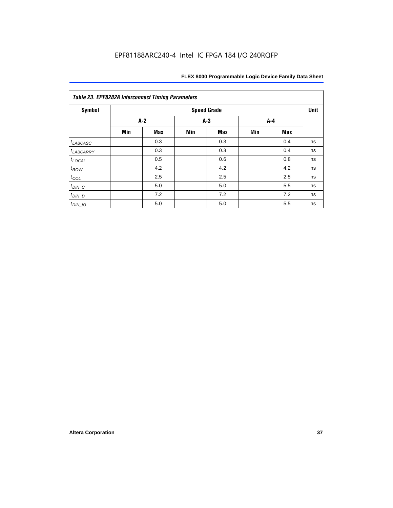| <b>Table 23. EPF8282A Interconnect Timing Parameters</b> |     |                    |     |            |     |     |    |  |  |  |
|----------------------------------------------------------|-----|--------------------|-----|------------|-----|-----|----|--|--|--|
| <b>Symbol</b>                                            |     | <b>Speed Grade</b> |     |            |     |     |    |  |  |  |
|                                                          |     | $A-2$<br>$A-3$     |     |            | A-4 |     |    |  |  |  |
|                                                          | Min | <b>Max</b>         | Min | <b>Max</b> | Min | Max |    |  |  |  |
| $t_{LABCASC}$                                            |     | 0.3                |     | 0.3        |     | 0.4 | ns |  |  |  |
| $t_{LABCARY}$                                            |     | 0.3                |     | 0.3        |     | 0.4 | ns |  |  |  |
| $t_{\text{LOCAL}}$                                       |     | 0.5                |     | 0.6        |     | 0.8 | ns |  |  |  |
| $t_{ROW}$                                                |     | 4.2                |     | 4.2        |     | 4.2 | ns |  |  |  |
| $t_{COL}$                                                |     | 2.5                |     | 2.5        |     | 2.5 | ns |  |  |  |
| $t_{DIN\_C}$                                             |     | 5.0                |     | 5.0        |     | 5.5 | ns |  |  |  |
| $t_{DIN\_D}$                                             |     | 7.2                |     | 7.2        |     | 7.2 | ns |  |  |  |
| $t_{DIN\_IO}$                                            |     | 5.0                |     | 5.0        |     | 5.5 | ns |  |  |  |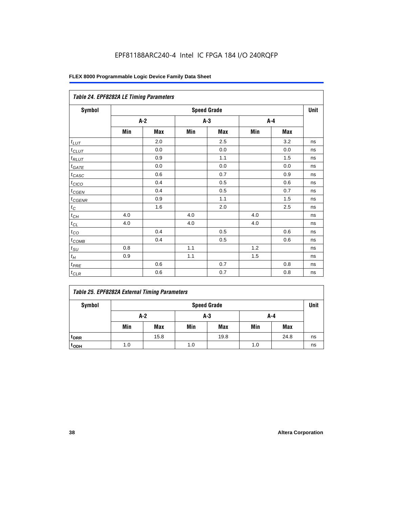|                   | Table 24. EPF8282A LE Timing Parameters |       |     |                    |     |     |      |  |  |  |
|-------------------|-----------------------------------------|-------|-----|--------------------|-----|-----|------|--|--|--|
| Symbol            |                                         |       |     | <b>Speed Grade</b> |     |     | Unit |  |  |  |
|                   |                                         | $A-2$ |     | $A-3$              |     | A-4 |      |  |  |  |
|                   | Min                                     | Max   | Min | Max                | Min | Max |      |  |  |  |
| $t_{LUT}$         |                                         | 2.0   |     | 2.5                |     | 3.2 | ns   |  |  |  |
| $t$ CLUT          |                                         | 0.0   |     | 0.0                |     | 0.0 | ns   |  |  |  |
| $t_{RLUT}$        |                                         | 0.9   |     | 1.1                |     | 1.5 | ns   |  |  |  |
| $t_{GATE}$        |                                         | 0.0   |     | 0.0                |     | 0.0 | ns   |  |  |  |
| $t_{CASC}$        |                                         | 0.6   |     | 0.7                |     | 0.9 | ns   |  |  |  |
| $t_{CICO}$        |                                         | 0.4   |     | 0.5                |     | 0.6 | ns   |  |  |  |
| $t_{CGEN}$        |                                         | 0.4   |     | 0.5                |     | 0.7 | ns   |  |  |  |
| $t_{CGENR}$       |                                         | 0.9   |     | 1.1                |     | 1.5 | ns   |  |  |  |
| $t_C$             |                                         | 1.6   |     | 2.0                |     | 2.5 | ns   |  |  |  |
| $t_{CH}$          | 4.0                                     |       | 4.0 |                    | 4.0 |     | ns   |  |  |  |
| $t_{CL}$          | 4.0                                     |       | 4.0 |                    | 4.0 |     | ns   |  |  |  |
| $t_{\rm CO}$      |                                         | 0.4   |     | 0.5                |     | 0.6 | ns   |  |  |  |
| $t_{\text{COMB}}$ |                                         | 0.4   |     | 0.5                |     | 0.6 | ns   |  |  |  |
| $t_{\text{SU}}$   | 0.8                                     |       | 1.1 |                    | 1.2 |     | ns   |  |  |  |
| $t_H\,$           | 0.9                                     |       | 1.1 |                    | 1.5 |     | ns   |  |  |  |
| $t_{PRE}$         |                                         | 0.6   |     | 0.7                |     | 0.8 | ns   |  |  |  |
| $t_{CLR}$         |                                         | 0.6   |     | 0.7                |     | 0.8 | ns   |  |  |  |

|  |  |  |  | Table 25. EPF8282A External Timing Parameters |
|--|--|--|--|-----------------------------------------------|
|--|--|--|--|-----------------------------------------------|

| Symbol             |     | <b>Speed Grade</b> |     |      |     |            |    |  |  |  |
|--------------------|-----|--------------------|-----|------|-----|------------|----|--|--|--|
|                    |     | A-2                | A-4 |      |     |            |    |  |  |  |
|                    | Min | <b>Max</b>         | Min | Max  | Min | <b>Max</b> |    |  |  |  |
| t <sub>DRR</sub>   |     | 15.8               |     | 19.8 |     | 24.8       | ns |  |  |  |
| $t$ <sub>ODH</sub> | 1.0 |                    | 1.0 |      | 1.0 |            | ns |  |  |  |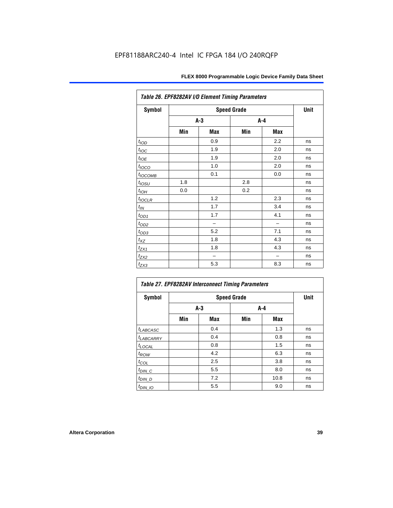| Table 26. EPF8282AV I/O Element Timing Parameters |     |       |                    |     |      |  |  |  |
|---------------------------------------------------|-----|-------|--------------------|-----|------|--|--|--|
| Symbol                                            |     |       | <b>Speed Grade</b> |     | Unit |  |  |  |
|                                                   |     | $A-3$ | A-4                |     |      |  |  |  |
|                                                   | Min | Max   | Min                | Max |      |  |  |  |
| t <sub>IOD</sub>                                  |     | 0.9   |                    | 2.2 | ns   |  |  |  |
| $t_{\text{loc}}$                                  |     | 1.9   |                    | 2.0 | ns   |  |  |  |
| $t_{IOE}$                                         |     | 1.9   |                    | 2.0 | ns   |  |  |  |
| $t_{\text{LOCO}}$                                 |     | 1.0   |                    | 2.0 | ns   |  |  |  |
| t <sub>IОСОМВ</sub>                               |     | 0.1   |                    | 0.0 | ns   |  |  |  |
| $t_{IOSU}$                                        | 1.8 |       | 2.8                |     | ns   |  |  |  |
| $t_{IOH}$                                         | 0.0 |       | 0.2                |     | ns   |  |  |  |
| $t_{IOCLR}$                                       |     | 1.2   |                    | 2.3 | ns   |  |  |  |
| $t_{\mathit{IN}}$                                 |     | 1.7   |                    | 3.4 | ns   |  |  |  |
| $t_{OD1}$                                         |     | 1.7   |                    | 4.1 | ns   |  |  |  |
| $t_{\text{OD2}}$                                  |     |       |                    |     | ns   |  |  |  |
| $t_{OD3}$                                         |     | 5.2   |                    | 7.1 | ns   |  |  |  |
| $t_{XZ}$                                          |     | 1.8   |                    | 4.3 | ns   |  |  |  |
| $t_{ZX1}$                                         |     | 1.8   |                    | 4.3 | ns   |  |  |  |
| $t_{ZX2}$                                         |     |       |                    |     | ns   |  |  |  |
| $t_{ZX3}$                                         |     | 5.3   |                    | 8.3 | ns   |  |  |  |

| Table 27. EPF8282AV Interconnect Timing Parameters |     |       |     |       |    |  |  |  |  |
|----------------------------------------------------|-----|-------|-----|-------|----|--|--|--|--|
| <b>Symbol</b>                                      |     | Unit  |     |       |    |  |  |  |  |
|                                                    |     | $A-3$ |     | $A-4$ |    |  |  |  |  |
|                                                    | Min | Max   | Min | Max   |    |  |  |  |  |
| $t_{LABCASC}$                                      |     | 0.4   |     | 1.3   | ns |  |  |  |  |
| t <sub>LABCARRY</sub>                              |     | 0.4   |     | 0.8   | ns |  |  |  |  |
| $t_{\text{LOCAL}}$                                 |     | 0.8   |     | 1.5   | ns |  |  |  |  |
| $t_{ROW}$                                          |     | 4.2   |     | 6.3   | ns |  |  |  |  |
| $t_{COL}$                                          |     | 2.5   |     | 3.8   | ns |  |  |  |  |
| $t_{DIN\_C}$                                       |     | 5.5   |     | 8.0   | ns |  |  |  |  |
| $t_{DIN\_D}$                                       |     | 7.2   |     | 10.8  | ns |  |  |  |  |
| $t_{DIN\_IO}$                                      |     | 5.5   |     | 9.0   | ns |  |  |  |  |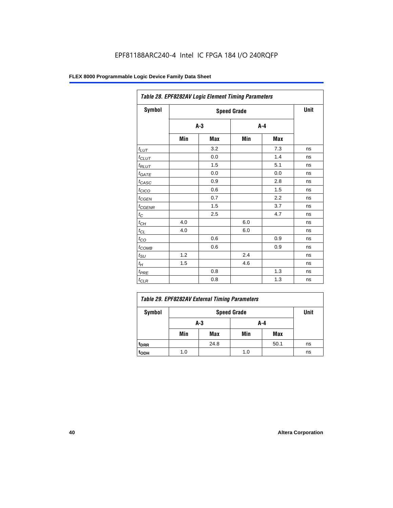|                      | Table 28. EPF8282AV Logic Element Timing Parameters |       |         |     |    |  |  |  |  |
|----------------------|-----------------------------------------------------|-------|---------|-----|----|--|--|--|--|
| Symbol               |                                                     | Unit  |         |     |    |  |  |  |  |
|                      |                                                     | $A-3$ | $A - 4$ |     |    |  |  |  |  |
|                      | Min                                                 | Max   | Min     | Max |    |  |  |  |  |
| $t_{LUT}$            |                                                     | 3.2   |         | 7.3 | ns |  |  |  |  |
| $t_{CLUT}$           |                                                     | 0.0   |         | 1.4 | ns |  |  |  |  |
| $t_{RLUT}$           |                                                     | 1.5   |         | 5.1 | ns |  |  |  |  |
| $t_{GATE}$           |                                                     | 0.0   |         | 0.0 | ns |  |  |  |  |
| $t_{CASC}$           |                                                     | 0.9   |         | 2.8 | ns |  |  |  |  |
| $t_{CICO}$           |                                                     | 0.6   |         | 1.5 | ns |  |  |  |  |
| $t_{GEN}$            |                                                     | 0.7   |         | 2.2 | ns |  |  |  |  |
| $t_{\text{GENR}}$    |                                                     | 1.5   |         | 3.7 | ns |  |  |  |  |
| $t_C$                |                                                     | 2.5   |         | 4.7 | ns |  |  |  |  |
| $t_{\underline{CH}}$ | 4.0                                                 |       | 6.0     |     | ns |  |  |  |  |
| $t_{CL}$             | 4.0                                                 |       | 6.0     |     | ns |  |  |  |  |
| $t_{CO}$             |                                                     | 0.6   |         | 0.9 | ns |  |  |  |  |
| $t_{COMB}$           |                                                     | 0.6   |         | 0.9 | ns |  |  |  |  |
| $t_{\text{SU}}$      | 1.2                                                 |       | 2.4     |     | ns |  |  |  |  |
| $t_H$                | 1.5                                                 |       | 4.6     |     | ns |  |  |  |  |
| $t_{PRE}$            |                                                     | 0.8   |         | 1.3 | ns |  |  |  |  |
| $t_{CLR}$            |                                                     | 0.8   |         | 1.3 | ns |  |  |  |  |

| Table 29. EPF8282AV External Timing Parameters |     |                    |     |      |    |  |  |  |
|------------------------------------------------|-----|--------------------|-----|------|----|--|--|--|
| Symbol                                         |     | <b>Speed Grade</b> |     |      |    |  |  |  |
|                                                |     | A-3                | A-4 |      |    |  |  |  |
|                                                | Min | Max                | Min | Max  |    |  |  |  |
| <sup>t</sup> DRR                               |     | 24.8               |     | 50.1 | ns |  |  |  |
| toph                                           | 1.0 |                    | 1.0 |      | ns |  |  |  |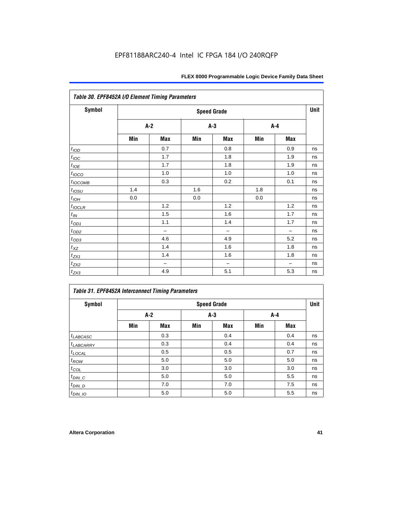| Table 30. EPF8452A I/O Element Timing Parameters |     |                          |     |                          |     |                          |    |  |  |  |
|--------------------------------------------------|-----|--------------------------|-----|--------------------------|-----|--------------------------|----|--|--|--|
| <b>Symbol</b>                                    |     | <b>Speed Grade</b>       |     |                          |     |                          |    |  |  |  |
|                                                  |     | $A-2$                    |     | $A-3$                    |     | $A-4$                    |    |  |  |  |
|                                                  | Min | Max                      | Min | Max                      | Min | Max                      |    |  |  |  |
| t <sub>IOD</sub>                                 |     | 0.7                      |     | 0.8                      |     | 0.9                      | ns |  |  |  |
| $t_{\text{IOC}}$                                 |     | 1.7                      |     | 1.8                      |     | 1.9                      | ns |  |  |  |
| $t_{IOE}$                                        |     | 1.7                      |     | 1.8                      |     | 1.9                      | ns |  |  |  |
| $t_{IOCO}$                                       |     | 1.0                      |     | 1.0                      |     | 1.0                      | ns |  |  |  |
| $t_{IOCOMB}$                                     |     | 0.3                      |     | 0.2                      |     | 0.1                      | ns |  |  |  |
| $t_{IOSU}$                                       | 1.4 |                          | 1.6 |                          | 1.8 |                          | ns |  |  |  |
| $t_{IOH}$                                        | 0.0 |                          | 0.0 |                          | 0.0 |                          | ns |  |  |  |
| $t_{IOCLR}$                                      |     | 1.2                      |     | 1.2                      |     | 1.2                      | ns |  |  |  |
| $t_{I\!N}$                                       |     | 1.5                      |     | 1.6                      |     | 1.7                      | ns |  |  |  |
| $t_{OD1}$                                        |     | 1.1                      |     | 1.4                      |     | 1.7                      | ns |  |  |  |
| $t_{OD2}$                                        |     | $\overline{\phantom{0}}$ |     | $\overline{\phantom{0}}$ |     | $\overline{\phantom{0}}$ | ns |  |  |  |
| $t_{OD3}$                                        |     | 4.6                      |     | 4.9                      |     | 5.2                      | ns |  |  |  |
| $t_{XZ}$                                         |     | 1.4                      |     | 1.6                      |     | 1.8                      | ns |  |  |  |
| $t_{ZX1}$                                        |     | 1.4                      |     | 1.6                      |     | 1.8                      | ns |  |  |  |
| $t_{ZX2}$                                        |     | $\qquad \qquad -$        |     | $\overline{\phantom{0}}$ |     | $\overline{\phantom{0}}$ | ns |  |  |  |
| $t_{ZX3}$                                        |     | 4.9                      |     | 5.1                      |     | 5.3                      | ns |  |  |  |

### *Table 31. EPF8452A Interconnect Timing Parameters*

| Symbol                | <b>Speed Grade</b> |            |     |       |     |       |    |  |  |
|-----------------------|--------------------|------------|-----|-------|-----|-------|----|--|--|
|                       | A-2                |            |     | $A-3$ |     | $A-4$ |    |  |  |
|                       | Min                | <b>Max</b> | Min | Max   | Min | Max   |    |  |  |
| $t_{LABCASC}$         |                    | 0.3        |     | 0.4   |     | 0.4   | ns |  |  |
| t <sub>LABCARRY</sub> |                    | 0.3        |     | 0.4   |     | 0.4   | ns |  |  |
| $t_{\text{LOCAL}}$    |                    | 0.5        |     | 0.5   |     | 0.7   | ns |  |  |
| $t_{ROW}$             |                    | 5.0        |     | 5.0   |     | 5.0   | ns |  |  |
| $t_{COL}$             |                    | 3.0        |     | 3.0   |     | 3.0   | ns |  |  |
| $t_{DIN\_C}$          |                    | 5.0        |     | 5.0   |     | 5.5   | ns |  |  |
| $t_{DIN\_D}$          |                    | 7.0        |     | 7.0   |     | 7.5   | ns |  |  |
| $t_{DIN\_IO}$         |                    | 5.0        |     | 5.0   |     | 5.5   | ns |  |  |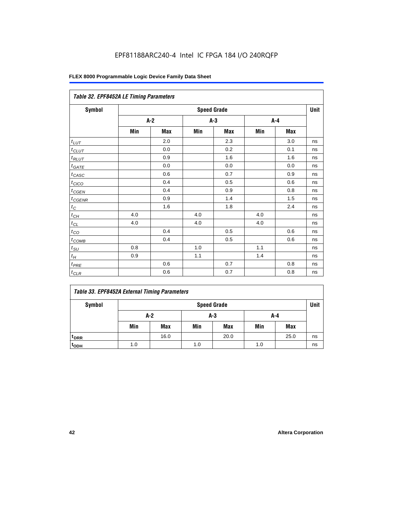|               | Table 32. EPF8452A LE Timing Parameters |       |     |                    |     |       |             |  |  |  |
|---------------|-----------------------------------------|-------|-----|--------------------|-----|-------|-------------|--|--|--|
| <b>Symbol</b> |                                         |       |     | <b>Speed Grade</b> |     |       | <b>Unit</b> |  |  |  |
|               |                                         | $A-2$ |     | $A-3$              |     | $A-4$ |             |  |  |  |
|               | Min                                     | Max   | Min | Max                | Min | Max   |             |  |  |  |
| $t_{LUT}$     |                                         | 2.0   |     | 2.3                |     | 3.0   | ns          |  |  |  |
| $t_{CLUT}$    |                                         | 0.0   |     | 0.2                |     | 0.1   | ns          |  |  |  |
| $t_{RLUT}$    |                                         | 0.9   |     | 1.6                |     | 1.6   | ns          |  |  |  |
| $t_{GATE}$    |                                         | 0.0   |     | 0.0                |     | 0.0   | ns          |  |  |  |
| $t_{CASC}$    |                                         | 0.6   |     | 0.7                |     | 0.9   | ns          |  |  |  |
| $t_{CICO}$    |                                         | 0.4   |     | 0.5                |     | 0.6   | ns          |  |  |  |
| $t_{CSEN}$    |                                         | 0.4   |     | 0.9                |     | 0.8   | ns          |  |  |  |
| $t_{CGENR}$   |                                         | 0.9   |     | 1.4                |     | 1.5   | ns          |  |  |  |
| $t_C$         |                                         | 1.6   |     | 1.8                |     | 2.4   | ns          |  |  |  |
| $t_{CH}$      | 4.0                                     |       | 4.0 |                    | 4.0 |       | ns          |  |  |  |
| $t_{CL}$      | 4.0                                     |       | 4.0 |                    | 4.0 |       | ns          |  |  |  |
| $t_{CO}$      |                                         | 0.4   |     | 0.5                |     | 0.6   | ns          |  |  |  |
| $t_{COMB}$    |                                         | 0.4   |     | 0.5                |     | 0.6   | ns          |  |  |  |
| $t_{SU}$      | 0.8                                     |       | 1.0 |                    | 1.1 |       | ns          |  |  |  |
| $t_H$         | 0.9                                     |       | 1.1 |                    | 1.4 |       | ns          |  |  |  |
| $t_{PRE}$     |                                         | 0.6   |     | 0.7                |     | 0.8   | ns          |  |  |  |
| $t_{CLR}$     |                                         | 0.6   |     | 0.7                |     | 0.8   | ns          |  |  |  |

### *Table 33. EPF8452A External Timing Parameters*

| Symbol                      |     | <b>Speed Grade</b> |     |            |     |            |    |  |  |  |
|-----------------------------|-----|--------------------|-----|------------|-----|------------|----|--|--|--|
|                             |     | A-2<br>$A-3$       |     |            |     | A-4        |    |  |  |  |
|                             | Min | Max                | Min | <b>Max</b> | Min | <b>Max</b> |    |  |  |  |
| <sup>t</sup> <sub>DRR</sub> |     | 16.0               |     | 20.0       |     | 25.0       | ns |  |  |  |
| t <sub>ODH</sub>            | 1.0 |                    | 1.0 |            | 1.0 |            | ns |  |  |  |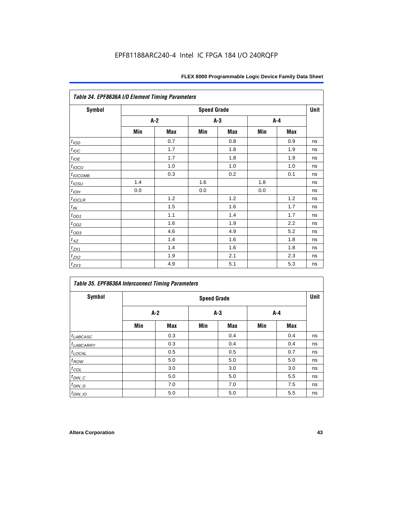| <b>Symbol</b>                   | <b>Speed Grade</b> |     |       |     |     |     |    |  |
|---------------------------------|--------------------|-----|-------|-----|-----|-----|----|--|
|                                 | A-2                |     | $A-3$ |     | A-4 |     |    |  |
|                                 | Min                | Max | Min   | Max | Min | Max |    |  |
| $t_{\textit{\scriptsize{IOD}}}$ |                    | 0.7 |       | 0.8 |     | 0.9 | ns |  |
| $t_{\text{IOC}}$                |                    | 1.7 |       | 1.8 |     | 1.9 | ns |  |
| $t_{IOE}$                       |                    | 1.7 |       | 1.8 |     | 1.9 | ns |  |
| $t_{IOCO}$                      |                    | 1.0 |       | 1.0 |     | 1.0 | ns |  |
| $t_{IOCOMB}$                    |                    | 0.3 |       | 0.2 |     | 0.1 | ns |  |
| $t_{IOSU}$                      | 1.4                |     | 1.6   |     | 1.8 |     | ns |  |
| $t_{IOL}$                       | 0.0                |     | 0.0   |     | 0.0 |     | ns |  |
| $t_{IOCLR}$                     |                    | 1.2 |       | 1.2 |     | 1.2 | ns |  |
| $t_{I\!N}$                      |                    | 1.5 |       | 1.6 |     | 1.7 | ns |  |
| $t_{\text{OD1}}$                |                    | 1.1 |       | 1.4 |     | 1.7 | ns |  |
| $t_{\underbar{OD2}}$            |                    | 1.6 |       | 1.9 |     | 2.2 | ns |  |
| $t_{OD3}$                       |                    | 4.6 |       | 4.9 |     | 5.2 | ns |  |
| $t_{\mathsf{XZ}}$               |                    | 1.4 |       | 1.6 |     | 1.8 | ns |  |
| $t_{ZX1}$                       |                    | 1.4 |       | 1.6 |     | 1.8 | ns |  |
| $t_{ZX2}$                       |                    | 1.9 |       | 2.1 |     | 2.3 | ns |  |
| $t_{ZX3}$                       |                    | 4.9 |       | 5.1 |     | 5.3 | ns |  |

| <b>Symbol</b>         | <b>Speed Grade</b> |            |       |            |     |            |    |  |
|-----------------------|--------------------|------------|-------|------------|-----|------------|----|--|
|                       | $A-2$              |            | $A-3$ |            | A-4 |            |    |  |
|                       | Min                | <b>Max</b> | Min   | <b>Max</b> | Min | <b>Max</b> |    |  |
| $t_{LABCASC}$         |                    | 0.3        |       | 0.4        |     | 0.4        | ns |  |
| <sup>t</sup> LABCARRY |                    | 0.3        |       | 0.4        |     | 0.4        | ns |  |
| $t_{\text{LOCAL}}$    |                    | 0.5        |       | 0.5        |     | 0.7        | ns |  |
| $t_{ROW}$             |                    | 5.0        |       | 5.0        |     | 5.0        | ns |  |
| $t_{COL}$             |                    | 3.0        |       | 3.0        |     | 3.0        | ns |  |
| $t_{DIN\_C}$          |                    | 5.0        |       | 5.0        |     | 5.5        | ns |  |
| $t_{DIN\_D}$          |                    | 7.0        |       | 7.0        |     | 7.5        | ns |  |
| $t_{DIN\_IO}$         |                    | 5.0        |       | 5.0        |     | 5.5        | ns |  |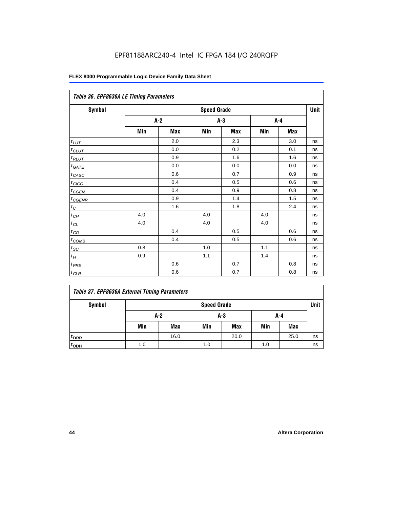| Table 36. EPF8636A LE Timing Parameters |       |     |                    |     |         |     |      |  |  |
|-----------------------------------------|-------|-----|--------------------|-----|---------|-----|------|--|--|
| Symbol                                  |       |     | <b>Speed Grade</b> |     |         |     | Unit |  |  |
|                                         | $A-2$ |     | $A-3$              |     | $A - 4$ |     |      |  |  |
|                                         | Min   | Max | Min                | Max | Min     | Max |      |  |  |
| $t_{LUT}$                               |       | 2.0 |                    | 2.3 |         | 3.0 | ns   |  |  |
| $t_{CLUT}$                              |       | 0.0 |                    | 0.2 |         | 0.1 | ns   |  |  |
| $t_{RLUT}$                              |       | 0.9 |                    | 1.6 |         | 1.6 | ns   |  |  |
| $t_{GATE}$                              |       | 0.0 |                    | 0.0 |         | 0.0 | ns   |  |  |
| $t_{CASC}$                              |       | 0.6 |                    | 0.7 |         | 0.9 | ns   |  |  |
| $t_{CICO}$                              |       | 0.4 |                    | 0.5 |         | 0.6 | ns   |  |  |
| $t_{GEN}$                               |       | 0.4 |                    | 0.9 |         | 0.8 | ns   |  |  |
| $t_{CGENR}$                             |       | 0.9 |                    | 1.4 |         | 1.5 | ns   |  |  |
| $t_C$                                   |       | 1.6 |                    | 1.8 |         | 2.4 | ns   |  |  |
| $t_{CH}$                                | 4.0   |     | 4.0                |     | 4.0     |     | ns   |  |  |
| $t_{CL}$                                | 4.0   |     | 4.0                |     | 4.0     |     | ns   |  |  |
| $t_{CO}$                                |       | 0.4 |                    | 0.5 |         | 0.6 | ns   |  |  |
| $t_{\text{COMB}}$                       |       | 0.4 |                    | 0.5 |         | 0.6 | ns   |  |  |
| $t_{SU}$                                | 0.8   |     | 1.0                |     | 1.1     |     | ns   |  |  |
| $t_H$                                   | 0.9   |     | $1.1$              |     | 1.4     |     | ns   |  |  |
| $t_{PRE}$                               |       | 0.6 |                    | 0.7 |         | 0.8 | ns   |  |  |
| $t_{CLR}$                               |       | 0.6 |                    | 0.7 |         | 0.8 | ns   |  |  |

### *Table 37. EPF8636A External Timing Parameters*

| Symbol           | <b>Speed Grade</b> |            |     |            |     |      |    |
|------------------|--------------------|------------|-----|------------|-----|------|----|
|                  | $A-2$<br>$A-3$     |            |     | A-4        |     |      |    |
|                  | Min                | <b>Max</b> | Min | <b>Max</b> | Min | Max  |    |
| t <sub>DRR</sub> |                    | 16.0       |     | 20.0       |     | 25.0 | ns |
| t <sub>ODH</sub> | 1.0                |            | 1.0 |            | 1.0 |      | ns |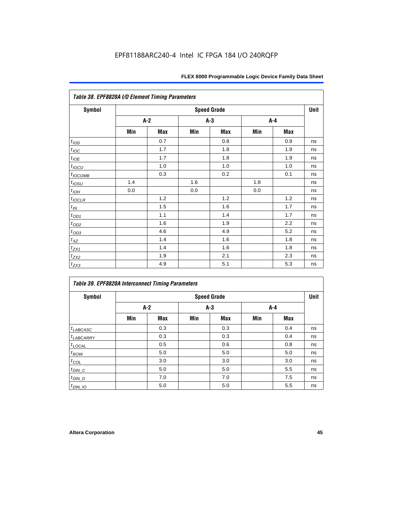| Table 38. EPF8820A I/O Element Timing Parameters |     |       |     |                    |     |       |      |  |  |
|--------------------------------------------------|-----|-------|-----|--------------------|-----|-------|------|--|--|
| <b>Symbol</b>                                    |     |       |     | <b>Speed Grade</b> |     |       | Unit |  |  |
|                                                  |     | $A-2$ |     | $A-3$              |     | $A-4$ |      |  |  |
|                                                  | Min | Max   | Min | Max                | Min | Max   |      |  |  |
| t <sub>IOD</sub>                                 |     | 0.7   |     | 0.8                |     | 0.9   | ns   |  |  |
| $t_{\text{IOC}}$                                 |     | 1.7   |     | 1.8                |     | 1.9   | ns   |  |  |
| $t_{IOE}$                                        |     | 1.7   |     | 1.8                |     | 1.9   | ns   |  |  |
| $t_{IOCO}$                                       |     | 1.0   |     | 1.0                |     | 1.0   | ns   |  |  |
| $t_{IOCOMB}$                                     |     | 0.3   |     | 0.2                |     | 0.1   | ns   |  |  |
| $t_{IOSU}$                                       | 1.4 |       | 1.6 |                    | 1.8 |       | ns   |  |  |
| $t_{IOH}$                                        | 0.0 |       | 0.0 |                    | 0.0 |       | ns   |  |  |
| $t_{IOCLR}$                                      |     | 1.2   |     | 1.2                |     | 1.2   | ns   |  |  |
| $t_{I\!N}$                                       |     | 1.5   |     | 1.6                |     | 1.7   | ns   |  |  |
| $t_{OD1}$                                        |     | 1.1   |     | 1.4                |     | 1.7   | ns   |  |  |
| $t_{\underline{OD2}}$                            |     | 1.6   |     | 1.9                |     | 2.2   | ns   |  |  |
| $t_{OD3}$                                        |     | 4.6   |     | 4.9                |     | 5.2   | ns   |  |  |
| $t_{\text{XZ}}$                                  |     | 1.4   |     | 1.6                |     | 1.8   | ns   |  |  |
| $t_{ZX1}$                                        |     | 1.4   |     | 1.6                |     | 1.8   | ns   |  |  |
| $t_{ZX2}$                                        |     | 1.9   |     | 2.1                |     | 2.3   | ns   |  |  |
| $t_{ZX3}$                                        |     | 4.9   |     | 5.1                |     | 5.3   | ns   |  |  |

| Table 39. EPF8820A Interconnect Timing Parameters |                    |            |     |            |     |     |    |  |  |
|---------------------------------------------------|--------------------|------------|-----|------------|-----|-----|----|--|--|
| Symbol                                            | <b>Speed Grade</b> |            |     |            |     |     |    |  |  |
|                                                   |                    | A-2        |     | $A-3$      |     | A-4 |    |  |  |
|                                                   | Min                | <b>Max</b> | Min | <b>Max</b> | Min | Max |    |  |  |
| $t_{LABCASC}$                                     |                    | 0.3        |     | 0.3        |     | 0.4 | ns |  |  |
| $t_{LABCARY}$                                     |                    | 0.3        |     | 0.3        |     | 0.4 | ns |  |  |
| $t_{\text{LOCAL}}$                                |                    | 0.5        |     | 0.6        |     | 0.8 | ns |  |  |
| $t_{ROW}$                                         |                    | 5.0        |     | 5.0        |     | 5.0 | ns |  |  |
| $t_{COL}$                                         |                    | 3.0        |     | 3.0        |     | 3.0 | ns |  |  |
| $t_{DIN\_C}$                                      |                    | 5.0        |     | 5.0        |     | 5.5 | ns |  |  |
| $t_{DIN\_D}$                                      |                    | 7.0        |     | 7.0        |     | 7.5 | ns |  |  |
| $t_{DIN\_IO}$                                     |                    | 5.0        |     | 5.0        |     | 5.5 | ns |  |  |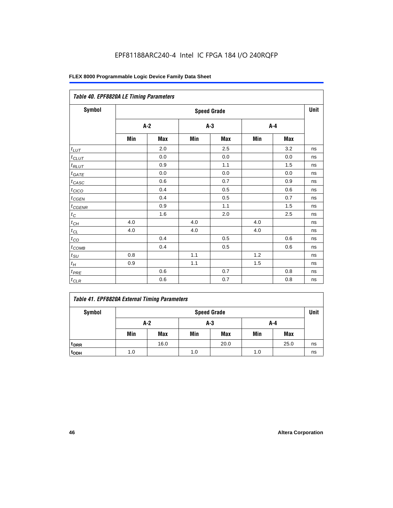| Table 40. EPF8820A LE Timing Parameters |     |       |     |                    |     |         |      |  |  |
|-----------------------------------------|-----|-------|-----|--------------------|-----|---------|------|--|--|
| Symbol                                  |     |       |     | <b>Speed Grade</b> |     |         | Unit |  |  |
|                                         |     | $A-2$ |     | $A-3$              |     | $A - 4$ |      |  |  |
|                                         | Min | Max   | Min | Max                | Min | Max     |      |  |  |
| $t_{\underline{LUT}}$                   |     | 2.0   |     | 2.5                |     | 3.2     | ns   |  |  |
| $t_{CLUT}$                              |     | 0.0   |     | 0.0                |     | 0.0     | ns   |  |  |
| $t_{RLUT}$                              |     | 0.9   |     | 1.1                |     | 1.5     | ns   |  |  |
| $t_{GATE}$                              |     | 0.0   |     | 0.0                |     | 0.0     | ns   |  |  |
| $t_{CASC}$                              |     | 0.6   |     | 0.7                |     | 0.9     | ns   |  |  |
| $t_{CICO}$                              |     | 0.4   |     | 0.5                |     | 0.6     | ns   |  |  |
| $t_{CGEN}$                              |     | 0.4   |     | 0.5                |     | 0.7     | ns   |  |  |
| $t_{CGENR}$                             |     | 0.9   |     | 1.1                |     | 1.5     | ns   |  |  |
| $t_C$                                   |     | 1.6   |     | 2.0                |     | 2.5     | ns   |  |  |
| $t_{CH}$                                | 4.0 |       | 4.0 |                    | 4.0 |         | ns   |  |  |
| $t_{\text{CL}}$                         | 4.0 |       | 4.0 |                    | 4.0 |         | ns   |  |  |
| $t_{CO}$                                |     | 0.4   |     | 0.5                |     | 0.6     | ns   |  |  |
| $t_{\text{COMB}}$                       |     | 0.4   |     | 0.5                |     | 0.6     | ns   |  |  |
| $t_{\rm SU}$                            | 0.8 |       | 1.1 |                    | 1.2 |         | ns   |  |  |
| $t_H\,$                                 | 0.9 |       | 1.1 |                    | 1.5 |         | ns   |  |  |
| $t_{PRE}$                               |     | 0.6   |     | 0.7                |     | 0.8     | ns   |  |  |
| $t_{CLR}$                               |     | 0.6   |     | 0.7                |     | 0.8     | ns   |  |  |

### *Table 41. EPF8820A External Timing Parameters* Symbol **Symbol** Speed Grade **Speed Grade Unit A-2 A-3 A-4** Min | Max | Min | Max | Min | Max **tDRR** 16.0 20.0 25.0 ns

**tODH** 1.0 1.0 1.0 ns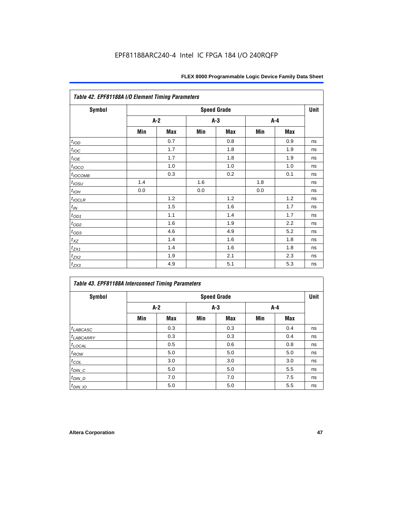| <b>Symbol</b>       |       |     |       | <b>Speed Grade</b> |     |     | <b>Unit</b> |
|---------------------|-------|-----|-------|--------------------|-----|-----|-------------|
|                     | $A-2$ |     | $A-3$ |                    | A-4 |     |             |
|                     | Min   | Max | Min   | Max                | Min | Max |             |
| t <sub>IOD</sub>    |       | 0.7 |       | 0.8                |     | 0.9 | ns          |
| $t_{\mathit{IOC}}$  |       | 1.7 |       | 1.8                |     | 1.9 | ns          |
| $t_{IOE}$           |       | 1.7 |       | 1.8                |     | 1.9 | ns          |
| $t_{IOCO}$          |       | 1.0 |       | 1.0                |     | 1.0 | ns          |
| $t_{IOCOMB}$        |       | 0.3 |       | 0.2                |     | 0.1 | ns          |
| $t_{\mathit{IOSU}}$ | 1.4   |     | 1.6   |                    | 1.8 |     | ns          |
| $t_{IOH}$           | 0.0   |     | 0.0   |                    | 0.0 |     | ns          |
| $t_{IOCLR}$         |       | 1.2 |       | 1.2                |     | 1.2 | ns          |
| $t_{I\!N}$          |       | 1.5 |       | 1.6                |     | 1.7 | ns          |
| $t_{OD1}$           |       | 1.1 |       | 1.4                |     | 1.7 | ns          |
| $t_{OD2}$           |       | 1.6 |       | 1.9                |     | 2.2 | ns          |
| $t_{OD3}$           |       | 4.6 |       | 4.9                |     | 5.2 | ns          |
| $t_{XZ}$            |       | 1.4 |       | 1.6                |     | 1.8 | ns          |
| $t_{ZX1}$           |       | 1.4 |       | 1.6                |     | 1.8 | ns          |
| $t_{ZX2}$           |       | 1.9 |       | 2.1                |     | 2.3 | ns          |
| $t_{ZX3}$           |       | 4.9 |       | 5.1                |     | 5.3 | ns          |

| Symbol                | <b>Speed Grade</b> |     |       |            |     |            |    |  |
|-----------------------|--------------------|-----|-------|------------|-----|------------|----|--|
|                       | $A-2$              |     | $A-3$ |            | A-4 |            |    |  |
|                       | Min                | Max | Min   | <b>Max</b> | Min | <b>Max</b> |    |  |
| $t_{LABCASC}$         |                    | 0.3 |       | 0.3        |     | 0.4        | ns |  |
| <sup>t</sup> LABCARRY |                    | 0.3 |       | 0.3        |     | 0.4        | ns |  |
| $t_{\text{LOCAL}}$    |                    | 0.5 |       | 0.6        |     | 0.8        | ns |  |
| $t_{ROW}$             |                    | 5.0 |       | 5.0        |     | 5.0        | ns |  |
| $t_{COL}$             |                    | 3.0 |       | 3.0        |     | 3.0        | ns |  |
| $t_{DIN\_C}$          |                    | 5.0 |       | 5.0        |     | 5.5        | ns |  |
| $t_{DIN\_D}$          |                    | 7.0 |       | 7.0        |     | 7.5        | ns |  |
| $t_{DIN_1O}$          |                    | 5.0 |       | 5.0        |     | 5.5        | ns |  |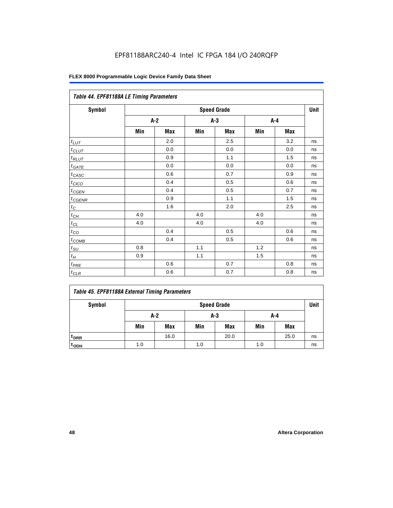| Table 44. EPF81188A LE Timing Parameters |       |     |       |                    |     |     |      |  |  |
|------------------------------------------|-------|-----|-------|--------------------|-----|-----|------|--|--|
| Symbol                                   |       |     |       | <b>Speed Grade</b> |     |     | Unit |  |  |
|                                          | $A-2$ |     | $A-3$ |                    | A-4 |     |      |  |  |
|                                          | Min   | Max | Min   | Max                | Min | Max |      |  |  |
| $t_{LUT}$                                |       | 2.0 |       | 2.5                |     | 3.2 | ns   |  |  |
| $t_{CLUT}$                               |       | 0.0 |       | 0.0                |     | 0.0 | ns   |  |  |
| $t_{RLUT}$                               |       | 0.9 |       | 1.1                |     | 1.5 | ns   |  |  |
| $t_{GATE}$                               |       | 0.0 |       | 0.0                |     | 0.0 | ns   |  |  |
| $t_{CASC}$                               |       | 0.6 |       | 0.7                |     | 0.9 | ns   |  |  |
| $t_{CICO}$                               |       | 0.4 |       | 0.5                |     | 0.6 | ns   |  |  |
| $t_{GEN}$                                |       | 0.4 |       | 0.5                |     | 0.7 | ns   |  |  |
| $t_{CGENR}$                              |       | 0.9 |       | 1.1                |     | 1.5 | ns   |  |  |
| $t_C$                                    |       | 1.6 |       | 2.0                |     | 2.5 | ns   |  |  |
| $t_{\mathit{CH}}$                        | 4.0   |     | 4.0   |                    | 4.0 |     | ns   |  |  |
| $t_{CL}$                                 | 4.0   |     | 4.0   |                    | 4.0 |     | ns   |  |  |
| $t_{CO}$                                 |       | 0.4 |       | 0.5                |     | 0.6 | ns   |  |  |
| $t_{\text{COMB}}$                        |       | 0.4 |       | 0.5                |     | 0.6 | ns   |  |  |
| $t_{SU}$                                 | 0.8   |     | 1.1   |                    | 1.2 |     | ns   |  |  |
| $t_H$                                    | 0.9   |     | 1.1   |                    | 1.5 |     | ns   |  |  |
| $t_{PRE}$                                |       | 0.6 |       | 0.7                |     | 0.8 | ns   |  |  |
| $t_{CLR}$                                |       | 0.6 |       | 0.7                |     | 0.8 | ns   |  |  |

|  |  |  |  | Table 45. EPF81188A External Timing Parameters |
|--|--|--|--|------------------------------------------------|
|--|--|--|--|------------------------------------------------|

| Symbol           | <b>Speed Grade</b> |            |     |            |     |            |    |
|------------------|--------------------|------------|-----|------------|-----|------------|----|
|                  | $A-2$              |            | A-3 |            | A-4 |            |    |
|                  | Min                | <b>Max</b> | Min | <b>Max</b> | Min | <b>Max</b> |    |
| t <sub>DRR</sub> |                    | 16.0       |     | 20.0       |     | 25.0       | ns |
| t <sub>ODH</sub> | 1.0                |            | 1.0 |            | 1.0 |            | ns |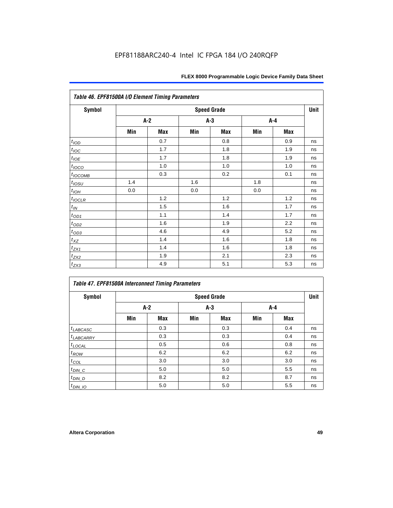| Table 46. EPF81500A I/O Element Timing Parameters |     |                    |       |     |       |     |    |  |  |
|---------------------------------------------------|-----|--------------------|-------|-----|-------|-----|----|--|--|
| <b>Symbol</b>                                     |     | <b>Speed Grade</b> |       |     |       |     |    |  |  |
|                                                   |     | A-2                | $A-3$ |     | $A-4$ |     |    |  |  |
|                                                   | Min | Max                | Min   | Max | Min   | Max |    |  |  |
| t <sub>IOD</sub>                                  |     | 0.7                |       | 0.8 |       | 0.9 | ns |  |  |
| $t_{\text{IOC}}$                                  |     | 1.7                |       | 1.8 |       | 1.9 | ns |  |  |
| $t_{IOE}$                                         |     | 1.7                |       | 1.8 |       | 1.9 | ns |  |  |
| $t_{IOCO}$                                        |     | 1.0                |       | 1.0 |       | 1.0 | ns |  |  |
| $t_{IOCOMB}$                                      |     | 0.3                |       | 0.2 |       | 0.1 | ns |  |  |
| $t_{IQSU}$                                        | 1.4 |                    | 1.6   |     | 1.8   |     | ns |  |  |
| $t_{IOH}$                                         | 0.0 |                    | 0.0   |     | 0.0   |     | ns |  |  |
| $t_{IOCLR}$                                       |     | 1.2                |       | 1.2 |       | 1.2 | ns |  |  |
| $t_{I\!N}$                                        |     | 1.5                |       | 1.6 |       | 1.7 | ns |  |  |
| $t_{\underbar{OD1}}$                              |     | 1.1                |       | 1.4 |       | 1.7 | ns |  |  |
| $t_{OD2}$                                         |     | 1.6                |       | 1.9 |       | 2.2 | ns |  |  |
| $t_{OD3}$                                         |     | 4.6                |       | 4.9 |       | 5.2 | ns |  |  |
| $t_{XZ}$                                          |     | 1.4                |       | 1.6 |       | 1.8 | ns |  |  |
| $t_{ZX1}$                                         |     | 1.4                |       | 1.6 |       | 1.8 | ns |  |  |
| $t_{ZX2}$                                         |     | 1.9                |       | 2.1 |       | 2.3 | ns |  |  |
| $t_{ZX3}$                                         |     | 4.9                |       | 5.1 |       | 5.3 | ns |  |  |

| Symbol                |       |            |       | <b>Speed Grade</b> |       |     | Unit |
|-----------------------|-------|------------|-------|--------------------|-------|-----|------|
|                       | $A-2$ |            | $A-3$ |                    | $A-4$ |     |      |
|                       | Min   | <b>Max</b> | Min   | <b>Max</b>         | Min   | Max |      |
| $t_{LABCASC}$         |       | 0.3        |       | 0.3                |       | 0.4 | ns   |
| <sup>t</sup> LABCARRY |       | 0.3        |       | 0.3                |       | 0.4 | ns   |
| $t_{\text{LOCAL}}$    |       | 0.5        |       | 0.6                |       | 0.8 | ns   |
| $t_{ROW}$             |       | 6.2        |       | 6.2                |       | 6.2 | ns   |
| $t_{COL}$             |       | 3.0        |       | 3.0                |       | 3.0 | ns   |
| $t_{DIN\_C}$          |       | 5.0        |       | 5.0                |       | 5.5 | ns   |
| $t_{DIN\_D}$          |       | 8.2        |       | 8.2                |       | 8.7 | ns   |
| $t_{DIN\_IO}$         |       | 5.0        |       | 5.0                |       | 5.5 | ns   |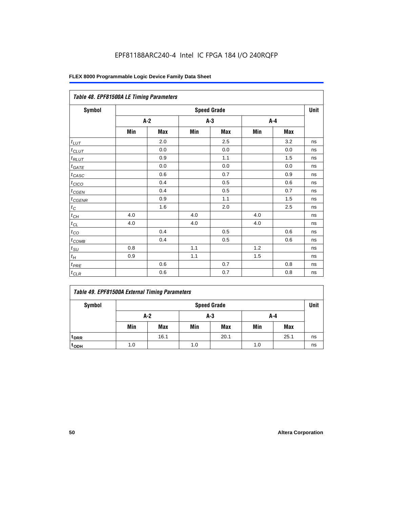| Table 48. EPF81500A LE Timing Parameters |                    |            |       |            |     |            |    |  |
|------------------------------------------|--------------------|------------|-------|------------|-----|------------|----|--|
| Symbol                                   | <b>Speed Grade</b> |            |       |            |     |            |    |  |
|                                          |                    | $A-2$      | $A-3$ |            | A-4 |            |    |  |
|                                          | Min                | <b>Max</b> | Min   | <b>Max</b> | Min | <b>Max</b> |    |  |
| $t_{LUT}$                                |                    | 2.0        |       | 2.5        |     | 3.2        | ns |  |
| $t$ CLUT                                 |                    | 0.0        |       | 0.0        |     | 0.0        | ns |  |
| $t_{RLUT}$                               |                    | 0.9        |       | 1.1        |     | 1.5        | ns |  |
| $t_{\underline{GATE}}$                   |                    | 0.0        |       | 0.0        |     | 0.0        | ns |  |
| $t_{CASC}$                               |                    | 0.6        |       | 0.7        |     | 0.9        | ns |  |
| $t_{CICO}$                               |                    | 0.4        |       | 0.5        |     | 0.6        | ns |  |
| $t_{CGEN}$                               |                    | 0.4        |       | 0.5        |     | 0.7        | ns |  |
| $t_{CGENR}$                              |                    | 0.9        |       | 1.1        |     | 1.5        | ns |  |
| $t_C$                                    |                    | 1.6        |       | 2.0        |     | 2.5        | ns |  |
| $t_{CH}$                                 | 4.0                |            | 4.0   |            | 4.0 |            | ns |  |
| $t_{CL}$                                 | 4.0                |            | 4.0   |            | 4.0 |            | ns |  |
| $t_{CO}$                                 |                    | 0.4        |       | 0.5        |     | 0.6        | ns |  |
| $t_{COMB}$                               |                    | 0.4        |       | 0.5        |     | 0.6        | ns |  |
| $t_{\rm SU}$                             | 0.8                |            | 1.1   |            | 1.2 |            | ns |  |
| $t_H$                                    | 0.9                |            | 1.1   |            | 1.5 |            | ns |  |
| $t_{PRE}$                                |                    | 0.6        |       | 0.7        |     | 0.8        | ns |  |
| $t_{CLR}$                                |                    | 0.6        |       | 0.7        |     | 0.8        | ns |  |

| Symbol             | <b>Speed Grade</b> |            |     |            |     |            |    |
|--------------------|--------------------|------------|-----|------------|-----|------------|----|
|                    | A-2<br>A-3<br>A-4  |            |     |            |     |            |    |
|                    | Min                | <b>Max</b> | Min | <b>Max</b> | Min | <b>Max</b> |    |
| t <sub>DRR</sub>   |                    | 16.1       |     | 20.1       |     | 25.1       | ns |
| $t$ <sub>ODH</sub> | 1.0                |            | 1.0 |            | 1.0 |            | ns |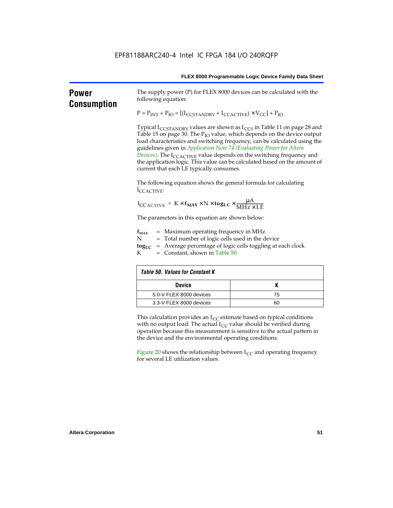| FLEX 8000 Programmable Logic Device Family Data Sheet |  |
|-------------------------------------------------------|--|
|                                                       |  |

| <b>Power</b><br><b>Consumption</b> | following equation:                                                                                                                                                                                                                                                                                                                                                                                                                                                                                                                              | The supply power (P) for FLEX 8000 devices can be calculated with the |  |  |  |  |  |
|------------------------------------|--------------------------------------------------------------------------------------------------------------------------------------------------------------------------------------------------------------------------------------------------------------------------------------------------------------------------------------------------------------------------------------------------------------------------------------------------------------------------------------------------------------------------------------------------|-----------------------------------------------------------------------|--|--|--|--|--|
|                                    | $P = P_{INT} + P_{IO} = [(I_{CCSTANDBY} + I_{CCACTIVE}) \times V_{CC}] + P_{IO}$                                                                                                                                                                                                                                                                                                                                                                                                                                                                 |                                                                       |  |  |  |  |  |
|                                    | Typical I <sub>CCSTANDBY</sub> values are shown as $I_{CC0}$ in Table 11 on page 28 and<br>Table 15 on page 30. The P <sub>IO</sub> value, which depends on the device output<br>load characteristics and switching frequency, can be calculated using the<br>guidelines given in Application Note 74 (Evaluating Power for Altera<br>Devices). The I <sub>CCACTIVE</sub> value depends on the switching frequency and<br>the application logic. This value can be calculated based on the amount of<br>current that each LE typically consumes. |                                                                       |  |  |  |  |  |
|                                    | ICCACTIVE:                                                                                                                                                                                                                                                                                                                                                                                                                                                                                                                                       | The following equation shows the general formula for calculating      |  |  |  |  |  |
|                                    | $I_{\text{CCACTIVE}} = K \times f_{\text{MAX}} \times N \times \text{togLC} \times \frac{\mu A}{\text{MHz} \times \text{LE}}$                                                                                                                                                                                                                                                                                                                                                                                                                    |                                                                       |  |  |  |  |  |
|                                    | The parameters in this equation are shown below:                                                                                                                                                                                                                                                                                                                                                                                                                                                                                                 |                                                                       |  |  |  |  |  |
|                                    | $=$ Maximum operating frequency in MHz<br>$f_{MAX}$<br>N<br>= Total number of logic cells used in the device<br>= Average percentage of logic cells toggling at each clock<br>$log_{LC}$<br>K.<br>$=$ Constant, shown in Table 50                                                                                                                                                                                                                                                                                                                |                                                                       |  |  |  |  |  |
|                                    | <b>Table 50. Values for Constant K</b>                                                                                                                                                                                                                                                                                                                                                                                                                                                                                                           |                                                                       |  |  |  |  |  |
|                                    | <b>Device</b>                                                                                                                                                                                                                                                                                                                                                                                                                                                                                                                                    | K                                                                     |  |  |  |  |  |
|                                    | 5.0-V FLEX 8000 devices                                                                                                                                                                                                                                                                                                                                                                                                                                                                                                                          | 75                                                                    |  |  |  |  |  |
|                                    | 3.3-V FLEX 8000 devices                                                                                                                                                                                                                                                                                                                                                                                                                                                                                                                          | 60                                                                    |  |  |  |  |  |
|                                    | This calculation provides an $I_{CC}$ estimate based on typical conditions<br>with no output load. The actual $I_{CC}$ value should be verified during<br>operation because this measurement is sensitive to the actual pattern in<br>the device and the environmental operating conditions.                                                                                                                                                                                                                                                     |                                                                       |  |  |  |  |  |
|                                    | Figure 20 shows the relationship between $I_{CC}$ and operating frequency<br>for several LE utilization values.                                                                                                                                                                                                                                                                                                                                                                                                                                  |                                                                       |  |  |  |  |  |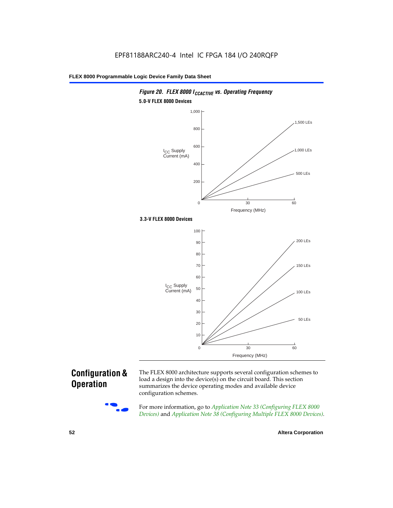

### *Figure 20. FLEX 8000 I<sub>CCACTIVE</sub> vs. Operating Frequency* **5.0-V FLEX 8000 Devices**

### **Configuration & Operation**



The FLEX 8000 architecture supports several configuration schemes to load a design into the device(s) on the circuit board. This section summarizes the device operating modes and available device configuration schemes.

For more information, go to *Application Note 33 (Configuring FLEX 8000 Devices)* and *Application Note 38 (Configuring Multiple FLEX 8000 Devices)*.

**52 Altera Corporation**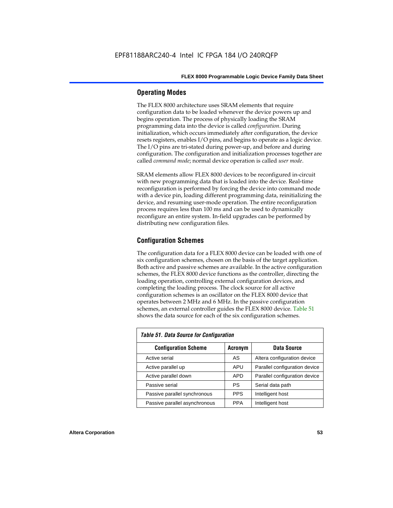### **Operating Modes**

The FLEX 8000 architecture uses SRAM elements that require configuration data to be loaded whenever the device powers up and begins operation. The process of physically loading the SRAM programming data into the device is called *configuration*. During initialization, which occurs immediately after configuration, the device resets registers, enables I/O pins, and begins to operate as a logic device. The I/O pins are tri-stated during power-up, and before and during configuration. The configuration and initialization processes together are called *command mode*; normal device operation is called *user mode*.

SRAM elements allow FLEX 8000 devices to be reconfigured in-circuit with new programming data that is loaded into the device. Real-time reconfiguration is performed by forcing the device into command mode with a device pin, loading different programming data, reinitializing the device, and resuming user-mode operation. The entire reconfiguration process requires less than 100 ms and can be used to dynamically reconfigure an entire system. In-field upgrades can be performed by distributing new configuration files.

### **Configuration Schemes**

The configuration data for a FLEX 8000 device can be loaded with one of six configuration schemes, chosen on the basis of the target application. Both active and passive schemes are available. In the active configuration schemes, the FLEX 8000 device functions as the controller, directing the loading operation, controlling external configuration devices, and completing the loading process. The clock source for all active configuration schemes is an oscillator on the FLEX 8000 device that operates between 2 MHz and 6 MHz. In the passive configuration schemes, an external controller guides the FLEX 8000 device. Table 51 shows the data source for each of the six configuration schemes.

| <b>Table 51. Data Source for Configuration</b> |             |                               |  |  |  |  |  |
|------------------------------------------------|-------------|-------------------------------|--|--|--|--|--|
| <b>Configuration Scheme</b>                    | Data Source |                               |  |  |  |  |  |
| Active serial                                  | AS          | Altera configuration device   |  |  |  |  |  |
| Active parallel up                             | <b>APU</b>  | Parallel configuration device |  |  |  |  |  |
| Active parallel down                           | <b>APD</b>  | Parallel configuration device |  |  |  |  |  |
| Passive serial                                 | PS          | Serial data path              |  |  |  |  |  |
| Passive parallel synchronous                   | <b>PPS</b>  | Intelligent host              |  |  |  |  |  |
| Passive parallel asynchronous                  | <b>PPA</b>  | Intelligent host              |  |  |  |  |  |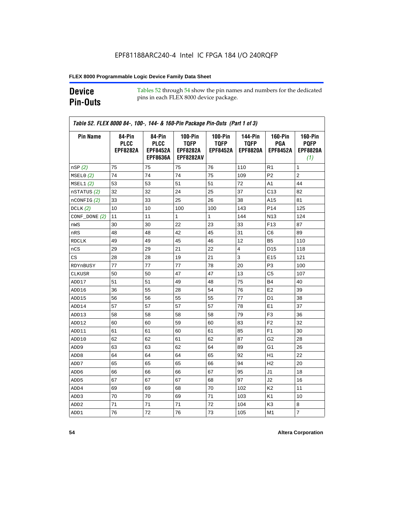### **Device Pin-Outs**

Tables 52 through 54 show the pin names and numbers for the dedicated pins in each FLEX 8000 device package.

| <b>Pin Name</b>  | 84-Pin<br><b>PLCC</b><br><b>EPF8282A</b> | 84-Pin<br><b>PLCC</b><br><b>EPF8452A</b><br><b>EPF8636A</b> | <b>100-Pin</b><br><b>TQFP</b><br><b>EPF8282A</b><br><b>EPF8282AV</b> | $100-Pin$<br><b>TQFP</b><br><b>EPF8452A</b> | <b>144-Pin</b><br><b>TQFP</b><br><b>EPF8820A</b> | <b>160-Pin</b><br>PGA<br><b>EPF8452A</b> | <b>160-Pin</b><br><b>PQFP</b><br><b>EPF8820A</b><br>(1) |
|------------------|------------------------------------------|-------------------------------------------------------------|----------------------------------------------------------------------|---------------------------------------------|--------------------------------------------------|------------------------------------------|---------------------------------------------------------|
| nSP(2)           | 75                                       | 75                                                          | 75                                                                   | 76                                          | 110                                              | R1                                       | 1                                                       |
| MSELO(2)         | 74                                       | 74                                                          | 74                                                                   | 75                                          | 109                                              | P <sub>2</sub>                           | $\overline{c}$                                          |
| MSEL1(2)         | 53                                       | 53                                                          | 51                                                                   | 51                                          | 72                                               | A1                                       | 44                                                      |
| nSTATUS (2)      | 32                                       | 32                                                          | 24                                                                   | 25                                          | 37                                               | C <sub>13</sub>                          | 82                                                      |
| $n$ CONFIG $(2)$ | 33                                       | 33                                                          | 25                                                                   | 26                                          | 38                                               | A15                                      | 81                                                      |
| DCLK(2)          | 10                                       | 10                                                          | 100                                                                  | 100                                         | 143                                              | P <sub>14</sub>                          | 125                                                     |
| $CONF\_DONE(2)$  | 11                                       | 11                                                          | $\mathbf{1}$                                                         | $\mathbf{1}$                                | 144                                              | N <sub>13</sub>                          | 124                                                     |
| nWS              | 30                                       | 30                                                          | 22                                                                   | 23                                          | 33                                               | F <sub>13</sub>                          | 87                                                      |
| nRS              | 48                                       | 48                                                          | 42                                                                   | 45                                          | 31                                               | C6                                       | 89                                                      |
| <b>RDCLK</b>     | 49                                       | 49                                                          | 45                                                                   | 46                                          | 12                                               | B5                                       | 110                                                     |
| nCS              | 29                                       | 29                                                          | 21                                                                   | 22                                          | $\overline{4}$                                   | D <sub>15</sub>                          | 118                                                     |
| CS               | 28                                       | 28                                                          | 19                                                                   | 21                                          | 3                                                | E <sub>15</sub>                          | 121                                                     |
| RDYnBUSY         | 77                                       | 77                                                          | 77                                                                   | 78                                          | 20                                               | P3                                       | 100                                                     |
| <b>CLKUSR</b>    | 50                                       | 50                                                          | 47                                                                   | 47                                          | 13                                               | C <sub>5</sub>                           | 107                                                     |
| ADD17            | 51                                       | 51                                                          | 49                                                                   | 48                                          | 75                                               | <b>B4</b>                                | 40                                                      |
| ADD16            | 36                                       | 55                                                          | 28                                                                   | 54                                          | 76                                               | E <sub>2</sub>                           | 39                                                      |
| ADD15            | 56                                       | 56                                                          | 55                                                                   | 55                                          | 77                                               | D <sub>1</sub>                           | 38                                                      |
| ADD14            | 57                                       | 57                                                          | 57                                                                   | 57                                          | 78                                               | E <sub>1</sub>                           | 37                                                      |
| ADD13            | 58                                       | 58                                                          | 58                                                                   | 58                                          | 79                                               | F <sub>3</sub>                           | 36                                                      |
| ADD12            | 60                                       | 60                                                          | 59                                                                   | 60                                          | 83                                               | F <sub>2</sub>                           | 32                                                      |
| ADD11            | 61                                       | 61                                                          | 60                                                                   | 61                                          | 85                                               | F <sub>1</sub>                           | 30                                                      |
| ADD10            | 62                                       | 62                                                          | 61                                                                   | 62                                          | 87                                               | G2                                       | 28                                                      |
| ADD <sub>9</sub> | 63                                       | 63                                                          | 62                                                                   | 64                                          | 89                                               | G1                                       | 26                                                      |
| ADD <sub>8</sub> | 64                                       | 64                                                          | 64                                                                   | 65                                          | 92                                               | H1                                       | 22                                                      |
| ADD7             | 65                                       | 65                                                          | 65                                                                   | 66                                          | 94                                               | H <sub>2</sub>                           | 20                                                      |
| ADD6             | 66                                       | 66                                                          | 66                                                                   | 67                                          | 95                                               | J <sub>1</sub>                           | 18                                                      |
| ADD <sub>5</sub> | 67                                       | 67                                                          | 67                                                                   | 68                                          | 97                                               | J2                                       | 16                                                      |
| ADD4             | 69                                       | 69                                                          | 68                                                                   | 70                                          | 102                                              | K <sub>2</sub>                           | 11                                                      |
| ADD3             | 70                                       | 70                                                          | 69                                                                   | 71                                          | 103                                              | K <sub>1</sub>                           | 10                                                      |
| ADD <sub>2</sub> | 71                                       | 71                                                          | 71                                                                   | 72                                          | 104                                              | K3                                       | 8                                                       |
| ADD1             | 76                                       | 72                                                          | 76                                                                   | 73                                          | 105                                              | M <sub>1</sub>                           | $\overline{7}$                                          |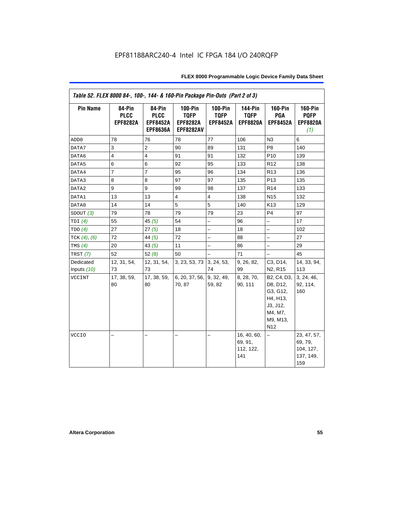| Table 52. FLEX 8000 84-, 100-, 144- & 160-Pin Package Pin-Outs (Part 2 of 3) |                                          |                                                             |                                                                 |                                             |                                                  |                                                                                                       |                                                         |  |
|------------------------------------------------------------------------------|------------------------------------------|-------------------------------------------------------------|-----------------------------------------------------------------|---------------------------------------------|--------------------------------------------------|-------------------------------------------------------------------------------------------------------|---------------------------------------------------------|--|
| <b>Pin Name</b>                                                              | 84-Pin<br><b>PLCC</b><br><b>EPF8282A</b> | 84-Pin<br><b>PLCC</b><br><b>EPF8452A</b><br><b>EPF8636A</b> | $100-Pin$<br><b>TQFP</b><br><b>EPF8282A</b><br><b>EPF8282AV</b> | $100-Pin$<br><b>TQFP</b><br><b>EPF8452A</b> | <b>144-Pin</b><br><b>TQFP</b><br><b>EPF8820A</b> | $160-Pin$<br>PGA<br><b>EPF8452A</b>                                                                   | <b>160-Pin</b><br><b>PQFP</b><br><b>EPF8820A</b><br>(1) |  |
| ADD <sub>0</sub>                                                             | 78                                       | 76                                                          | 78                                                              | 77                                          | 106                                              | N3                                                                                                    | 6                                                       |  |
| DATA7                                                                        | 3                                        | $\overline{2}$                                              | 90                                                              | 89                                          | 131                                              | P <sub>8</sub>                                                                                        | 140                                                     |  |
| DATA6                                                                        | $\overline{4}$                           | $\overline{4}$                                              | 91                                                              | 91                                          | 132                                              | P <sub>10</sub>                                                                                       | 139                                                     |  |
| DATA5                                                                        | 6                                        | 6                                                           | 92                                                              | 95                                          | 133                                              | R <sub>12</sub>                                                                                       | 138                                                     |  |
| DATA4                                                                        | $\overline{7}$                           | $\overline{7}$                                              | 95                                                              | 96                                          | 134                                              | R <sub>13</sub>                                                                                       | 136                                                     |  |
| DATA3                                                                        | 8                                        | 8                                                           | 97                                                              | 97                                          | 135                                              | P <sub>13</sub>                                                                                       | 135                                                     |  |
| DATA2                                                                        | 9                                        | 9                                                           | 99                                                              | 98                                          | 137                                              | R <sub>14</sub>                                                                                       | 133                                                     |  |
| DATA1                                                                        | 13                                       | 13                                                          | $\overline{4}$                                                  | $\overline{4}$                              | 138                                              | N <sub>15</sub>                                                                                       | 132                                                     |  |
| DATA0                                                                        | 14                                       | 14                                                          | 5                                                               | 5                                           | 140                                              | K13                                                                                                   | 129                                                     |  |
| SDOUT $(3)$                                                                  | 79                                       | 78                                                          | 79                                                              | 79                                          | 23                                               | P <sub>4</sub>                                                                                        | 97                                                      |  |
| TDI $(4)$                                                                    | 55                                       | 45 $(5)$                                                    | 54                                                              | $\overline{\phantom{0}}$                    | 96                                               | $\overline{\phantom{0}}$                                                                              | 17                                                      |  |
| TDO(4)                                                                       | 27                                       | 27(5)                                                       | 18                                                              | -                                           | 18                                               | $\overline{\phantom{0}}$                                                                              | 102                                                     |  |
| TCK $(4)$ , $(6)$                                                            | 72                                       | 44 $(5)$                                                    | 72                                                              | $\overline{a}$                              | 88                                               | $\overline{\phantom{0}}$                                                                              | 27                                                      |  |
| TMS $(4)$                                                                    | 20                                       | 43 $(5)$                                                    | 11                                                              | -                                           | 86                                               | -                                                                                                     | 29                                                      |  |
| TRST $(7)$                                                                   | 52                                       | 52(8)                                                       | 50                                                              | $\overline{a}$                              | 71                                               | $\overline{\phantom{0}}$                                                                              | 45                                                      |  |
| Dedicated                                                                    | 12, 31, 54,                              | 12, 31, 54,                                                 | 3, 23, 53, 73                                                   | 3, 24, 53,                                  | 9, 26, 82,                                       | C3, D14,                                                                                              | 14, 33, 94,                                             |  |
| Inputs $(10)$                                                                | 73                                       | 73                                                          |                                                                 | 74                                          | 99                                               | N <sub>2</sub> , R <sub>15</sub>                                                                      | 113                                                     |  |
| <b>VCCINT</b>                                                                | 17, 38, 59,<br>80                        | 17, 38, 59,<br>80                                           | 6, 20, 37, 56,<br>70, 87                                        | 9, 32, 49,<br>59, 82                        | 8, 28, 70,<br>90, 111                            | B2, C4, D3,<br>D8, D12,<br>G3, G12,<br>H4, H13,<br>J3, J12,<br>M4, M7,<br>M9, M13,<br>N <sub>12</sub> | 3, 24, 46,<br>92, 114,<br>160                           |  |
| <b>VCCIO</b>                                                                 | ▃                                        |                                                             |                                                                 | -                                           | 16, 40, 60,<br>69, 91,<br>112, 122,<br>141       | -                                                                                                     | 23, 47, 57,<br>69, 79,<br>104, 127,<br>137, 149,<br>159 |  |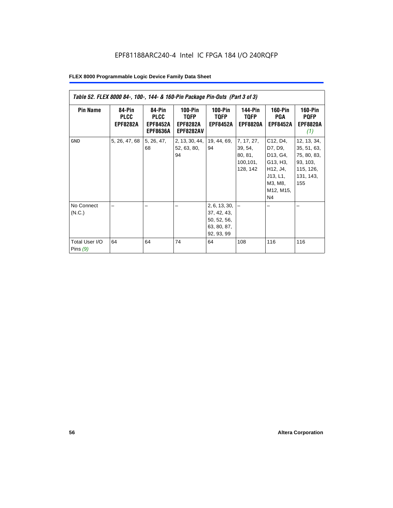| Table 52. FLEX 8000 84-, 100-, 144- & 160-Pin Package Pin-Outs (Part 3 of 3) |                                          |                                                             |                                                          |                                                                                |                                                           |                                                                                                               |                                                                                        |
|------------------------------------------------------------------------------|------------------------------------------|-------------------------------------------------------------|----------------------------------------------------------|--------------------------------------------------------------------------------|-----------------------------------------------------------|---------------------------------------------------------------------------------------------------------------|----------------------------------------------------------------------------------------|
| <b>Pin Name</b>                                                              | 84-Pin<br><b>PLCC</b><br><b>EPF8282A</b> | 84-Pin<br><b>PLCC</b><br><b>EPF8452A</b><br><b>EPF8636A</b> | $100-Pin$<br>TQFP<br><b>EPF8282A</b><br><b>EPF8282AV</b> | $100-Pin$<br><b>TQFP</b><br><b>EPF8452A</b>                                    | <b>144-Pin</b><br><b>TQFP</b><br><b>EPF8820A</b>          | <b>160-Pin</b><br>PGA<br><b>EPF8452A</b>                                                                      | <b>160-Pin</b><br><b>PQFP</b><br><b>EPF8820A</b><br>(1)                                |
| <b>GND</b>                                                                   | 5, 26, 47, 68                            | 5, 26, 47,<br>68                                            | 2, 13, 30, 44,<br>52, 63, 80,<br>94                      | 19, 44, 69,<br>94                                                              | 7, 17, 27,<br>39, 54,<br>80, 81,<br>100, 101,<br>128, 142 | C12, D4,<br>D7, D9,<br>D13, G4,<br>G13, H3,<br>H12, J4,<br>J13, L1,<br>M3, M8,<br>M12, M15,<br>N <sub>4</sub> | 12, 13, 34,<br>35, 51, 63,<br>75, 80, 83,<br>93, 103,<br>115, 126,<br>131, 143,<br>155 |
| No Connect<br>(N.C.)<br>Total User I/O<br>Pins $(9)$                         | 64                                       | 64                                                          | 74                                                       | 2, 6, 13, 30,<br>37, 42, 43,<br>50, 52, 56,<br>63, 80, 87,<br>92, 93, 99<br>64 | 108                                                       | 116                                                                                                           | 116                                                                                    |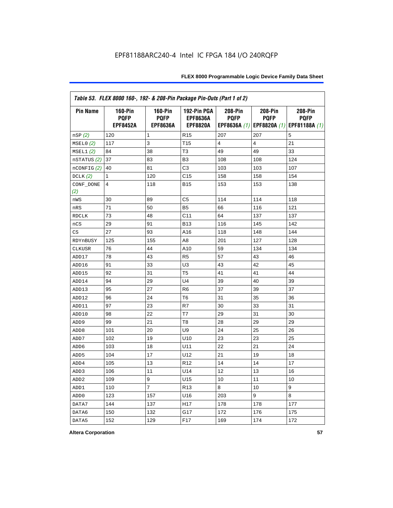| Table 53. FLEX 8000 160-, 192- & 208-Pin Package Pin-Outs (Part 1 of 2) |                                                  |                                                  |                                                   |                        |                        |                                                                   |
|-------------------------------------------------------------------------|--------------------------------------------------|--------------------------------------------------|---------------------------------------------------|------------------------|------------------------|-------------------------------------------------------------------|
| <b>Pin Name</b>                                                         | <b>160-Pin</b><br><b>PQFP</b><br><b>EPF8452A</b> | <b>160-Pin</b><br><b>PQFP</b><br><b>EPF8636A</b> | 192-Pin PGA<br><b>EPF8636A</b><br><b>EPF8820A</b> | 208-Pin<br><b>PQFP</b> | 208-Pin<br><b>PQFP</b> | 208-Pin<br><b>PQFP</b><br>EPF8636A (1) EPF8820A (1) EPF81188A (1) |
| nSP (2)                                                                 | 120                                              | 1                                                | R <sub>15</sub>                                   | 207                    | 207                    | 5                                                                 |
| MSELO(2)                                                                | 117                                              | 3                                                | T <sub>15</sub>                                   | 4                      | 4                      | 21                                                                |
| MSEL1(2)                                                                | 84                                               | 38                                               | T <sub>3</sub>                                    | 49                     | 49                     | 33                                                                |
| nSTATUS (2)                                                             | 37                                               | 83                                               | B <sub>3</sub>                                    | 108                    | 108                    | 124                                                               |
| nCONFIG (2)                                                             | 40                                               | 81                                               | C <sub>3</sub>                                    | 103                    | 103                    | 107                                                               |
| DCLK $(2)$                                                              | 1                                                | 120                                              | C <sub>15</sub>                                   | 158                    | 158                    | 154                                                               |
| CONF_DONE<br>(2)                                                        | 4                                                | 118                                              | <b>B15</b>                                        | 153                    | 153                    | 138                                                               |
| nWS                                                                     | 30                                               | 89                                               | C5                                                | 114                    | 114                    | 118                                                               |
| nRS                                                                     | 71                                               | 50                                               | B <sub>5</sub>                                    | 66                     | 116                    | 121                                                               |
| <b>RDCLK</b>                                                            | 73                                               | 48                                               | C <sub>11</sub>                                   | 64                     | 137                    | 137                                                               |
| nCS                                                                     | 29                                               | 91                                               | <b>B13</b>                                        | 116                    | 145                    | 142                                                               |
| CS                                                                      | 27                                               | 93                                               | A16                                               | 118                    | 148                    | 144                                                               |
| RDYnBUSY                                                                | 125                                              | 155                                              | A <sub>8</sub>                                    | 201                    | 127                    | 128                                                               |
| CLKUSR                                                                  | 76                                               | 44                                               | A10                                               | 59                     | 134                    | 134                                                               |
| ADD17                                                                   | 78                                               | 43                                               | R <sub>5</sub>                                    | 57                     | 43                     | 46                                                                |
| ADD16                                                                   | 91                                               | 33                                               | U <sub>3</sub>                                    | 43                     | 42                     | 45                                                                |
| ADD15                                                                   | 92                                               | 31                                               | T <sub>5</sub>                                    | 41                     | 41                     | 44                                                                |
| ADD14                                                                   | 94                                               | 29                                               | U <sub>4</sub>                                    | 39                     | 40                     | 39                                                                |
| ADD13                                                                   | 95                                               | 27                                               | R <sub>6</sub>                                    | 37                     | 39                     | 37                                                                |
| ADD12                                                                   | 96                                               | 24                                               | T <sub>6</sub>                                    | 31                     | 35                     | 36                                                                |
| ADD11                                                                   | 97                                               | 23                                               | R7                                                | 30                     | 33                     | 31                                                                |
| ADD10                                                                   | 98                                               | 22                                               | T7                                                | 29                     | 31                     | 30                                                                |
| ADD <sub>9</sub>                                                        | 99                                               | 21                                               | T <sub>8</sub>                                    | 28                     | 29                     | 29                                                                |
| ADD <sub>8</sub>                                                        | 101                                              | 20                                               | U <sub>9</sub>                                    | 24                     | 25                     | 26                                                                |
| ADD7                                                                    | 102                                              | 19                                               | U10                                               | 23                     | 23                     | 25                                                                |
| ADD <sub>6</sub>                                                        | 103                                              | 18                                               | U11                                               | 22                     | 21                     | 24                                                                |
| ADD <sub>5</sub>                                                        | 104                                              | 17                                               | U12                                               | 21                     | 19                     | 18                                                                |
| ADD4                                                                    | 105                                              | 13                                               | R <sub>12</sub>                                   | 14                     | 14                     | 17                                                                |
| ADD <sub>3</sub>                                                        | 106                                              | 11                                               | U14                                               | 12                     | 13                     | 16                                                                |
| ADD <sub>2</sub>                                                        | 109                                              | 9                                                | U15                                               | 10                     | 11                     | 10                                                                |
| ADD1                                                                    | 110                                              | $\overline{7}$                                   | R <sub>13</sub>                                   | 8                      | 10                     | 9                                                                 |
| ADD <sub>0</sub>                                                        | 123                                              | 157                                              | U16                                               | 203                    | 9                      | 8                                                                 |
| DATA7                                                                   | 144                                              | 137                                              | H <sub>17</sub>                                   | 178                    | 178                    | 177                                                               |
| DATA6                                                                   | 150                                              | 132                                              | G17                                               | 172                    | 176                    | 175                                                               |
| DATA5                                                                   | 152                                              | 129                                              | F <sub>17</sub>                                   | 169                    | 174                    | 172                                                               |

**Altera Corporation 57**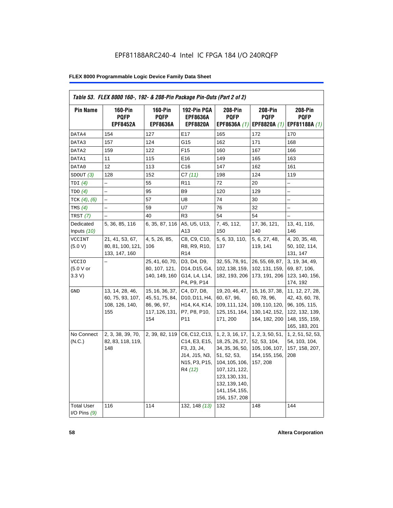| <b>Pin Name</b>                     | <b>160-Pin</b><br><b>PQFP</b>                                | $160-Pin$<br><b>PQFP</b>                                                   | 192-Pin PGA<br><b>EPF8636A</b>                                                                                                                     | 208-Pin<br><b>PQFP</b>                                                                                                                                                           | 208-Pin<br><b>PQFP</b>                                                              | 208-Pin<br><b>PQFP</b>                                                                                   |
|-------------------------------------|--------------------------------------------------------------|----------------------------------------------------------------------------|----------------------------------------------------------------------------------------------------------------------------------------------------|----------------------------------------------------------------------------------------------------------------------------------------------------------------------------------|-------------------------------------------------------------------------------------|----------------------------------------------------------------------------------------------------------|
|                                     | <b>EPF8452A</b>                                              | <b>EPF8636A</b>                                                            | <b>EPF8820A</b>                                                                                                                                    | EPF8636A (1)                                                                                                                                                                     | EPF8820A (1)                                                                        | EPF81188A (1)                                                                                            |
| DATA4                               | 154                                                          | 127                                                                        | E17                                                                                                                                                | 165                                                                                                                                                                              | 172                                                                                 | 170                                                                                                      |
| DATA3                               | 157                                                          | 124                                                                        | G15                                                                                                                                                | 162                                                                                                                                                                              | 171                                                                                 | 168                                                                                                      |
| DATA2                               | 159                                                          | 122                                                                        | F <sub>15</sub>                                                                                                                                    | 160                                                                                                                                                                              | 167                                                                                 | 166                                                                                                      |
| DATA1                               | 11                                                           | 115                                                                        | E16                                                                                                                                                | 149                                                                                                                                                                              | 165                                                                                 | 163                                                                                                      |
| DATA0                               | 12                                                           | 113                                                                        | C <sub>16</sub>                                                                                                                                    | 147                                                                                                                                                                              | 162                                                                                 | 161                                                                                                      |
| SDOUT(3)                            | 128                                                          | 152                                                                        | C7(11)                                                                                                                                             | 198                                                                                                                                                                              | 124                                                                                 | 119                                                                                                      |
| TDI(4)                              | $\equiv$                                                     | 55                                                                         | R <sub>11</sub>                                                                                                                                    | 72                                                                                                                                                                               | 20                                                                                  | $\overline{\phantom{0}}$                                                                                 |
| TDO(4)                              | $\overline{\phantom{0}}$                                     | 95                                                                         | B <sub>9</sub>                                                                                                                                     | 120                                                                                                                                                                              | 129                                                                                 | -                                                                                                        |
| TCK $(4)$ , $(6)$                   |                                                              | 57                                                                         | U8                                                                                                                                                 | 74                                                                                                                                                                               | 30                                                                                  | -                                                                                                        |
| TMS $(4)$                           |                                                              | 59                                                                         | U7                                                                                                                                                 | 76                                                                                                                                                                               | 32                                                                                  | $\overline{\phantom{0}}$                                                                                 |
| TRST(7)                             |                                                              | 40                                                                         | R <sub>3</sub>                                                                                                                                     | 54                                                                                                                                                                               | 54                                                                                  |                                                                                                          |
| Dedicated<br>Inputs (10)            | 5, 36, 85, 116                                               | 6, 35, 87, 116                                                             | A5, U5, U13,<br>A13                                                                                                                                | 7, 45, 112,<br>150                                                                                                                                                               | 17, 36, 121,<br>140                                                                 | 13, 41, 116,<br>146                                                                                      |
| <b>VCCINT</b><br>(5.0 V)            | 21, 41, 53, 67,<br>80, 81, 100, 121,<br>133, 147, 160        | 4, 5, 26, 85,<br>106                                                       | C8, C9, C10,<br>R8, R9, R10,<br>R <sub>14</sub>                                                                                                    | 5, 6, 33, 110,<br>137                                                                                                                                                            | 5, 6, 27, 48,<br>119, 141                                                           | 4, 20, 35, 48,<br>50, 102, 114,<br>131, 147                                                              |
| <b>VCCIO</b><br>(5.0 V or<br>3.3 V  |                                                              | 25, 41, 60, 70,<br>80, 107, 121,<br>140, 149, 160                          | D3, D4, D9,<br>D14, D15, G4,<br>G14, L4, L14,<br>P4, P9, P14                                                                                       | 32, 55, 78, 91,<br>102, 138, 159,<br>182, 193, 206                                                                                                                               | 26, 55, 69, 87,<br>102, 131, 159,<br>173, 191, 206                                  | 3, 19, 34, 49,<br>69, 87, 106,<br>123, 140, 156,<br>174, 192                                             |
| GND                                 | 13, 14, 28, 46,<br>60, 75, 93, 107,<br>108, 126, 140,<br>155 | 15, 16, 36, 37,<br>45, 51, 75, 84,<br>86, 96, 97,<br>117, 126, 131,<br>154 | C4, D7, D8,<br>D <sub>10</sub> , D <sub>11</sub> , H <sub>4</sub> ,<br>H <sub>14</sub> , K <sub>4</sub> , K <sub>14</sub> ,<br>P7, P8, P10,<br>P11 | 19, 20, 46, 47,<br>60, 67, 96,<br>109, 111, 124,<br>125, 151, 164,<br>171, 200                                                                                                   | 15, 16, 37, 38,<br>60, 78, 96,<br>109, 110, 120,<br>130, 142, 152,<br>164, 182, 200 | 11, 12, 27, 28,<br>42, 43, 60, 78,<br>96, 105, 115,<br>122, 132, 139,<br>148, 155, 159,<br>165, 183, 201 |
| No Connect<br>(N.C.)                | 2, 3, 38, 39, 70,<br>82, 83, 118, 119,<br>148                | 2, 39, 82, 119                                                             | C6, C12, C13,<br>C14, E3, E15,<br>F3, J3, J4,<br>J14, J15, N3,<br>N15, P3, P15,<br>R4 (12)                                                         | 1, 2, 3, 16, 17,<br>18, 25, 26, 27,<br>34, 35, 36, 50,<br>51, 52, 53,<br>104, 105, 106,<br>107, 121, 122,<br>123, 130, 131,<br>132, 139, 140,<br>141, 154, 155,<br>156, 157, 208 | 1, 2, 3, 50, 51,<br>52, 53, 104,<br>105, 106, 107,<br>154, 155, 156,<br>157, 208    | 1, 2, 51, 52, 53,<br>54, 103, 104,<br>157, 158, 207,<br>208                                              |
| <b>Total User</b><br>I/O Pins $(9)$ | 116                                                          | 114                                                                        | 132, 148 (13)                                                                                                                                      | 132                                                                                                                                                                              | 148                                                                                 | 144                                                                                                      |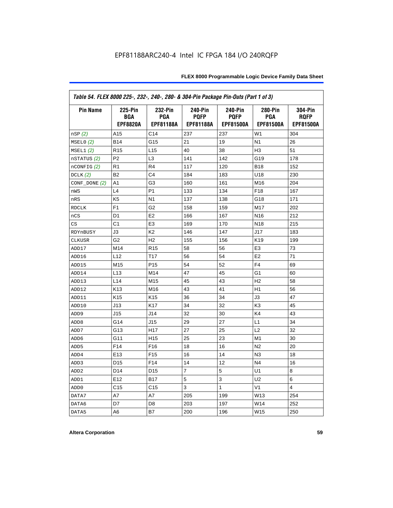| Table 54. FLEX 8000 225-, 232-, 240-, 280- & 304-Pin Package Pin-Outs (Part 1 of 3) |                                                 |                                           |                                                   |                                                   |                                    |                                                   |
|-------------------------------------------------------------------------------------|-------------------------------------------------|-------------------------------------------|---------------------------------------------------|---------------------------------------------------|------------------------------------|---------------------------------------------------|
| <b>Pin Name</b>                                                                     | <b>225-Pin</b><br><b>BGA</b><br><b>EPF8820A</b> | 232-Pin<br><b>PGA</b><br><b>EPF81188A</b> | <b>240-Pin</b><br><b>PQFP</b><br><b>EPF81188A</b> | <b>240-Pin</b><br><b>PQFP</b><br><b>EPF81500A</b> | 280-Pin<br><b>PGA</b><br>EPF81500A | <b>304-Pin</b><br><b>ROFP</b><br><b>EPF81500A</b> |
| nSP(2)                                                                              | A15                                             | C <sub>14</sub>                           | 237                                               | 237                                               | W <sub>1</sub>                     | 304                                               |
| MSELO(2)                                                                            | <b>B14</b>                                      | G15                                       | 21                                                | 19                                                | N <sub>1</sub>                     | 26                                                |
| MSEL1(2)                                                                            | R <sub>15</sub>                                 | L <sub>15</sub>                           | 40                                                | 38                                                | H <sub>3</sub>                     | 51                                                |
| nSTATUS (2)                                                                         | P <sub>2</sub>                                  | L <sub>3</sub>                            | 141                                               | 142                                               | G19                                | 178                                               |
| $n$ CONFIG $(2)$                                                                    | R <sub>1</sub>                                  | R <sub>4</sub>                            | 117                                               | 120                                               | <b>B18</b>                         | 152                                               |
| DCLK $(2)$                                                                          | B <sub>2</sub>                                  | C <sub>4</sub>                            | 184                                               | 183                                               | U18                                | 230                                               |
| $CONF\_DONE(2)$                                                                     | A1                                              | G3                                        | 160                                               | 161                                               | M16                                | 204                                               |
| nWS                                                                                 | L4                                              | P <sub>1</sub>                            | 133                                               | 134                                               | F <sub>18</sub>                    | 167                                               |
| nRS                                                                                 | K <sub>5</sub>                                  | N <sub>1</sub>                            | 137                                               | 138                                               | G18                                | 171                                               |
| <b>RDCLK</b>                                                                        | F <sub>1</sub>                                  | G <sub>2</sub>                            | 158                                               | 159                                               | M17                                | 202                                               |
| nCS                                                                                 | D <sub>1</sub>                                  | E <sub>2</sub>                            | 166                                               | 167                                               | N <sub>16</sub>                    | 212                                               |
| CS                                                                                  | C <sub>1</sub>                                  | E <sub>3</sub>                            | 169                                               | 170                                               | N <sub>18</sub>                    | 215                                               |
| RDYnBUSY                                                                            | J3                                              | K <sub>2</sub>                            | 146                                               | 147                                               | J17                                | 183                                               |
| <b>CLKUSR</b>                                                                       | G <sub>2</sub>                                  | H <sub>2</sub>                            | 155                                               | 156                                               | K <sub>19</sub>                    | 199                                               |
| ADD17                                                                               | M14                                             | R <sub>15</sub>                           | 58                                                | 56                                                | E <sub>3</sub>                     | 73                                                |
| ADD16                                                                               | L12                                             | T <sub>17</sub>                           | 56                                                | 54                                                | E <sub>2</sub>                     | 71                                                |
| ADD15                                                                               | M15                                             | P <sub>15</sub>                           | 54                                                | 52                                                | F4                                 | 69                                                |
| ADD14                                                                               | L13                                             | M14                                       | 47                                                | 45                                                | G1                                 | 60                                                |
| ADD13                                                                               | L <sub>14</sub>                                 | M15                                       | 45                                                | 43                                                | H <sub>2</sub>                     | 58                                                |
| ADD12                                                                               | K <sub>13</sub>                                 | M16                                       | 43                                                | 41                                                | H1                                 | 56                                                |
| ADD11                                                                               | K <sub>15</sub>                                 | K <sub>15</sub>                           | 36                                                | 34                                                | JЗ                                 | 47                                                |
| ADD10                                                                               | J13                                             | K <sub>17</sub>                           | 34                                                | 32                                                | K <sub>3</sub>                     | 45                                                |
| ADD <sub>9</sub>                                                                    | J15                                             | J14                                       | 32                                                | 30                                                | K4                                 | 43                                                |
| ADD <sub>8</sub>                                                                    | G14                                             | J15                                       | 29                                                | 27                                                | L1                                 | 34                                                |
| ADD7                                                                                | G13                                             | H <sub>17</sub>                           | 27                                                | 25                                                | L2                                 | 32                                                |
| ADD <sub>6</sub>                                                                    | G11                                             | H <sub>15</sub>                           | 25                                                | 23                                                | M1                                 | 30                                                |
| ADD <sub>5</sub>                                                                    | F <sub>14</sub>                                 | F <sub>16</sub>                           | 18                                                | 16                                                | N <sub>2</sub>                     | 20                                                |
| ADD4                                                                                | E <sub>13</sub>                                 | F <sub>15</sub>                           | 16                                                | 14                                                | N <sub>3</sub>                     | 18                                                |
| ADD3                                                                                | D <sub>15</sub>                                 | F <sub>14</sub>                           | 14                                                | 12                                                | N <sub>4</sub>                     | 16                                                |
| ADD <sub>2</sub>                                                                    | D <sub>14</sub>                                 | D <sub>15</sub>                           | 7                                                 | 5                                                 | U <sub>1</sub>                     | 8                                                 |
| ADD1                                                                                | E12                                             | <b>B17</b>                                | 5                                                 | 3                                                 | U2                                 | 6                                                 |
| ADD <sub>0</sub>                                                                    | C <sub>15</sub>                                 | C <sub>15</sub>                           | 3                                                 | 1                                                 | V <sub>1</sub>                     | 4                                                 |
| DATA7                                                                               | A7                                              | A7                                        | 205                                               | 199                                               | W13                                | 254                                               |
| DATA6                                                                               | D7                                              | D8                                        | 203                                               | 197                                               | W14                                | 252                                               |
| DATA5                                                                               | A6                                              | B7                                        | 200                                               | 196                                               | W15                                | 250                                               |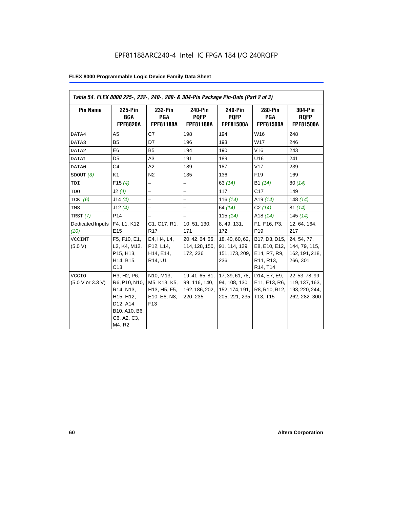| Table 54. FLEX 8000 225-, 232-, 240-, 280- & 304-Pin Package Pin-Outs (Part 2 of 3) |                                                                                                                                         |                                                                                                                     |                                                                |                                                                       |                                                                                                                            |                                                                      |
|-------------------------------------------------------------------------------------|-----------------------------------------------------------------------------------------------------------------------------------------|---------------------------------------------------------------------------------------------------------------------|----------------------------------------------------------------|-----------------------------------------------------------------------|----------------------------------------------------------------------------------------------------------------------------|----------------------------------------------------------------------|
| <b>Pin Name</b>                                                                     | 225-Pin<br><b>BGA</b><br><b>EPF8820A</b>                                                                                                | 232-Pin<br><b>PGA</b><br><b>EPF81188A</b>                                                                           | 240-Pin<br><b>POFP</b><br><b>EPF81188A</b>                     | 240-Pin<br><b>POFP</b><br><b>EPF81500A</b>                            | <b>280-Pin</b><br><b>PGA</b><br><b>EPF81500A</b>                                                                           | <b>304-Pin</b><br><b>RQFP</b><br><b>EPF81500A</b>                    |
| DATA4                                                                               | A <sub>5</sub>                                                                                                                          | C7                                                                                                                  | 198                                                            | 194                                                                   | W16                                                                                                                        | 248                                                                  |
| DATA3                                                                               | B <sub>5</sub>                                                                                                                          | D7                                                                                                                  | 196                                                            | 193                                                                   | W17                                                                                                                        | 246                                                                  |
| DATA2                                                                               | E <sub>6</sub>                                                                                                                          | B <sub>5</sub>                                                                                                      | 194                                                            | 190                                                                   | V16                                                                                                                        | 243                                                                  |
| DATA1                                                                               | D <sub>5</sub>                                                                                                                          | A3                                                                                                                  | 191                                                            | 189                                                                   | U16                                                                                                                        | 241                                                                  |
| DATA0                                                                               | C4                                                                                                                                      | A2                                                                                                                  | 189                                                            | 187                                                                   | V17                                                                                                                        | 239                                                                  |
| SDOUT (3)                                                                           | K <sub>1</sub>                                                                                                                          | N <sub>2</sub>                                                                                                      | 135                                                            | 136                                                                   | F <sub>19</sub>                                                                                                            | 169                                                                  |
| TDI                                                                                 | F15(4)                                                                                                                                  | $\overline{\phantom{0}}$                                                                                            | $\overline{\phantom{0}}$                                       | 63(14)                                                                | B1 (14)                                                                                                                    | 80(14)                                                               |
| TDO                                                                                 | J2(4)                                                                                                                                   | $\overline{a}$                                                                                                      | $\overline{a}$                                                 | 117                                                                   | C <sub>17</sub>                                                                                                            | 149                                                                  |
| TCK $(6)$                                                                           | J14(4)                                                                                                                                  | $\overline{\phantom{0}}$                                                                                            | -                                                              | 116 $(14)$                                                            | A <sub>19</sub> $(14)$                                                                                                     | 148 $(14)$                                                           |
| TMS                                                                                 | J12(4)                                                                                                                                  |                                                                                                                     | $\overline{\phantom{0}}$                                       | 64 (14)                                                               | C2(14)                                                                                                                     | 81(14)                                                               |
| TRST (7)                                                                            | P <sub>14</sub>                                                                                                                         | $\equiv$                                                                                                            | $\overline{a}$                                                 | 115 $(14)$                                                            | A <sub>18</sub> $(14)$                                                                                                     | 145(14)                                                              |
| Dedicated Inputs<br>(10)                                                            | F4, L1, K12,<br>E <sub>15</sub>                                                                                                         | C1, C17, R1,<br><b>R17</b>                                                                                          | 10, 51, 130,<br>171                                            | 8, 49, 131,<br>172                                                    | F1, F16, P3,<br>P <sub>19</sub>                                                                                            | 12, 64, 164,<br>217                                                  |
| <b>VCCINT</b><br>(5.0 V)                                                            | F5, F10, E1,<br>L2, K4, M12,<br>P15, H13,<br>H14, B15,<br>C13                                                                           | E4, H4, L4,<br>P12, L14,<br>H14, E14,<br>R14, U1                                                                    | 20, 42, 64, 66,<br>114, 128, 150,<br>172, 236                  | 18, 40, 60, 62,<br>91, 114, 129,<br>151, 173, 209,<br>236             | B17, D3, D15,<br>E8, E10, E12,<br>E14, R7, R9,<br>R <sub>11</sub> , R <sub>13</sub> ,<br>R <sub>14</sub> , T <sub>14</sub> | 24, 54, 77,<br>144, 79, 115,<br>162, 191, 218,<br>266, 301           |
| <b>VCCIO</b><br>(5.0 V or 3.3 V)                                                    | H3, H2, P6,<br>R6, P10, N10,<br>R <sub>14</sub> , N <sub>13</sub> ,<br>H15, H12,<br>D12, A14,<br>B10, A10, B6,<br>C6, A2, C3,<br>M4, R2 | N10, M13,<br>M5, K13, K5,<br>H <sub>13</sub> , H <sub>5</sub> , F <sub>5</sub> ,<br>E10, E8, N8,<br>F <sub>13</sub> | 19, 41, 65, 81,<br>99, 116, 140,<br>162, 186, 202,<br>220, 235 | 17, 39, 61, 78,<br>94, 108, 130,<br>152, 174, 191,  <br>205, 221, 235 | D14, E7, E9,<br>E11, E13, R6,<br>R8, R10, R12,<br>T13, T15                                                                 | 22, 53, 78, 99,<br>119, 137, 163,<br>193, 220, 244,<br>262, 282, 300 |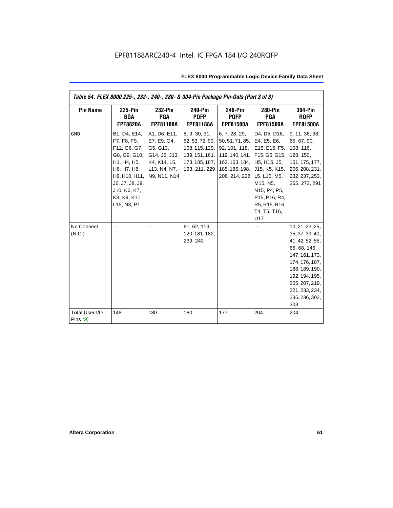| Table 54. FLEX 8000 225-, 232-, 240-, 280- & 304-Pin Package Pin-Outs (Part 3 of 3) |                                                                                                                                                                              |                                                                                                          |                                                                                                         |                                                                                                                                                              |                                                                                                                                                    |                                                                                                                                                                                                            |
|-------------------------------------------------------------------------------------|------------------------------------------------------------------------------------------------------------------------------------------------------------------------------|----------------------------------------------------------------------------------------------------------|---------------------------------------------------------------------------------------------------------|--------------------------------------------------------------------------------------------------------------------------------------------------------------|----------------------------------------------------------------------------------------------------------------------------------------------------|------------------------------------------------------------------------------------------------------------------------------------------------------------------------------------------------------------|
| <b>Pin Name</b>                                                                     | <b>225-Pin</b><br><b>BGA</b><br><b>EPF8820A</b>                                                                                                                              | 232-Pin<br><b>PGA</b><br><b>EPF81188A</b>                                                                | <b>240-Pin</b><br><b>PQFP</b><br><b>EPF81188A</b>                                                       | <b>240-Pin</b><br><b>PQFP</b><br><b>EPF81500A</b>                                                                                                            | <b>280-Pin</b><br><b>PGA</b><br><b>EPF81500A</b>                                                                                                   | <b>304-Pin</b><br><b>ROFP</b><br><b>EPF81500A</b>                                                                                                                                                          |
| <b>GND</b>                                                                          | B1, D4, E14,<br>F7, F8, F9,<br>F12, G6, G7,<br>G8, G9, G10,<br>H1, H4, H5,<br>H6, H7, H8,<br>H9, H10, H11,<br>J6, J7, J8, J9,<br>J10, K6, K7,<br>K8, K9, K11,<br>L15, N3, P1 | A1, D6, E11,<br>E7, E9, G4,<br>G5, G13,<br>G14, J5, J13,<br>K4, K14, L5,<br>L13, N4, N7,<br>N9, N11, N14 | 8, 9, 30, 31,<br>52, 53, 72, 90,<br>108, 115, 129,<br>139, 151, 161,<br>173, 185, 187,<br>193, 211, 229 | 6, 7, 28, 29,<br>50, 51, 71, 85, E4, E5, E6,<br>92, 101, 118,<br>162, 163, 184, H5, H15, J5,<br>185, 186, 198, J15, K5, K15,<br>208, 214, 228   L5, L15, M5, | D4, D5, D16,<br>E15, E16, F5,<br>119, 140, 141, F15, G5, G15,<br>M15, N5,<br>N15, P4, P5,<br>P15, P16, R4,<br>R5, R15, R16,<br>T4, T5, T16,<br>U17 | 9, 11, 36, 38,<br>65, 67, 90,<br>108, 116,<br>128, 150,<br>151, 175, 177,<br>206, 208, 231,<br>232, 237, 253,<br>265, 273, 291                                                                             |
| No Connect<br>(N.C.)                                                                |                                                                                                                                                                              |                                                                                                          | 61, 62, 119,<br>120, 181, 182,<br>239, 240                                                              |                                                                                                                                                              |                                                                                                                                                    | 10, 21, 23, 25,<br>35, 37, 39, 40,<br>41, 42, 52, 55,<br>66, 68, 146,<br>147, 161, 173,<br>174, 176, 187,<br>188, 189, 190,<br>192, 194, 195,<br>205, 207, 219,<br>221, 233, 234,<br>235, 236, 302,<br>303 |
| Total User I/O<br>Pins $(9)$                                                        | 148                                                                                                                                                                          | 180                                                                                                      | 180                                                                                                     | 177                                                                                                                                                          | 204                                                                                                                                                | 204                                                                                                                                                                                                        |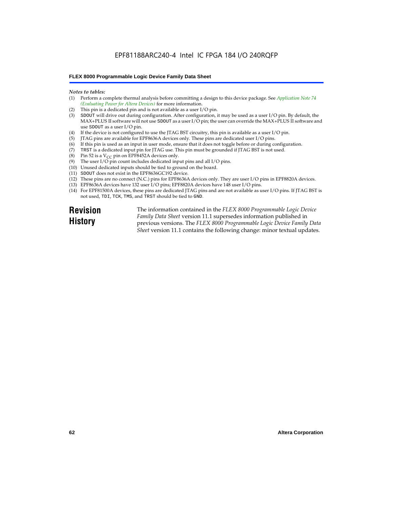#### *Notes to tables:*

- (1) Perform a complete thermal analysis before committing a design to this device package. See *Application Note 74 (Evaluating Power for Altera Devices)* for more information.
- (2) This pin is a dedicated pin and is not available as a user I/O pin.
- (3) SDOUT will drive out during configuration. After configuration, it may be used as a user I/O pin. By default, the MAX+PLUS II software will not use SDOUT as a user I/O pin; the user can override the MAX+PLUS II software and use SDOUT as a user I/O pin.
- (4) If the device is not configured to use the JTAG BST circuitry, this pin is available as a user I/O pin.
- (5) JTAG pins are available for EPF8636A devices only. These pins are dedicated user I/O pins.
- $(6)$  If this pin is used as an input in user mode, ensure that it does not toggle before or during configuration.
- (7) TRST is a dedicated input pin for JTAG use. This pin must be grounded if JTAG BST is not used.
- (8) Pin 52 is a  $V_{CC}$  pin on EPF8452A devices only.
- (9) The user I/O pin count includes dedicated input pins and all I/O pins.
- (10) Unused dedicated inputs should be tied to ground on the board.
- (11) SDOUT does not exist in the EPF8636GC192 device.
- (12) These pins are no connect (N.C.) pins for EPF8636A devices only. They are user I/O pins in EPF8820A devices.
- (13) EPF8636A devices have 132 user I/O pins; EPF8820A devices have 148 user I/O pins.
- (14) For EPF81500A devices, these pins are dedicated JTAG pins and are not available as user I/O pins. If JTAG BST is not used, TDI, TCK, TMS, and TRST should be tied to GND.

**Revision History**

The information contained in the *FLEX 8000 Programmable Logic Device Family Data Sheet* version 11.1 supersedes information published in previous versions. The *FLEX 8000 Programmable Logic Device Family Data Sheet* version 11.1 contains the following change: minor textual updates.